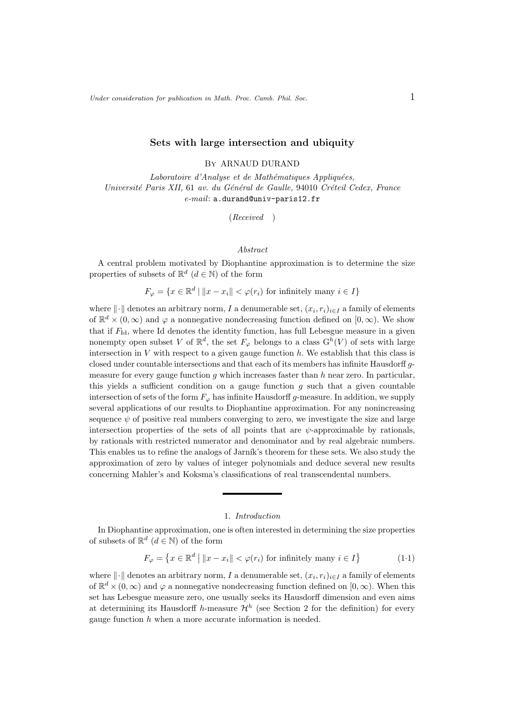## Sets with large intersection and ubiquity

By ARNAUD DURAND

Laboratoire d'Analyse et de Mathématiques Appliquées, Université Paris XII, 61 av. du Général de Gaulle, 94010 Créteil Cedex, France e-mail: a.durand@univ-paris12.fr

(Received )

### Abstract

A central problem motivated by Diophantine approximation is to determine the size properties of subsets of  $\mathbb{R}^d$   $(d \in \mathbb{N})$  of the form

 $F_{\varphi} = \{x \in \mathbb{R}^d \mid ||x - x_i|| < \varphi(r_i) \text{ for infinitely many } i \in I\}$ 

where  $\|\cdot\|$  denotes an arbitrary norm, I a denumerable set,  $(x_i, r_i)_{i\in I}$  a family of elements of  $\mathbb{R}^d \times (0,\infty)$  and  $\varphi$  a nonnegative nondecreasing function defined on  $[0,\infty)$ . We show that if  $F_{\rm Id}$ , where Id denotes the identity function, has full Lebesgue measure in a given nonempty open subset V of  $\mathbb{R}^d$ , the set  $F_{\varphi}$  belongs to a class  $G^h(V)$  of sets with large intersection in  $V$  with respect to a given gauge function  $h$ . We establish that this class is closed under countable intersections and that each of its members has infinite Hausdorff gmeasure for every gauge function g which increases faster than  $h$  near zero. In particular, this yields a sufficient condition on a gauge function  $g$  such that a given countable intersection of sets of the form  $F_{\varphi}$  has infinite Hausdorff g-measure. In addition, we supply several applications of our results to Diophantine approximation. For any nonincreasing sequence  $\psi$  of positive real numbers converging to zero, we investigate the size and large intersection properties of the sets of all points that are  $\psi$ -approximable by rationals, by rationals with restricted numerator and denominator and by real algebraic numbers. This enables us to refine the analogs of Jarník's theorem for these sets. We also study the approximation of zero by values of integer polynomials and deduce several new results concerning Mahler's and Koksma's classifications of real transcendental numbers.

## 1. Introduction

In Diophantine approximation, one is often interested in determining the size properties of subsets of  $\mathbb{R}^d$   $(d \in \mathbb{N})$  of the form

$$
F_{\varphi} = \left\{ x \in \mathbb{R}^d \mid \|x - x_i\| < \varphi(r_i) \text{ for infinitely many } i \in I \right\} \tag{1.1}
$$

where  $\|\cdot\|$  denotes an arbitrary norm, I a denumerable set,  $(x_i, r_i)_{i\in I}$  a family of elements of  $\mathbb{R}^d \times (0,\infty)$  and  $\varphi$  a nonnegative nondecreasing function defined on  $[0,\infty)$ . When this set has Lebesgue measure zero, one usually seeks its Hausdorff dimension and even aims at determining its Hausdorff h-measure  $\mathcal{H}^h$  (see Section 2 for the definition) for every gauge function  $h$  when a more accurate information is needed.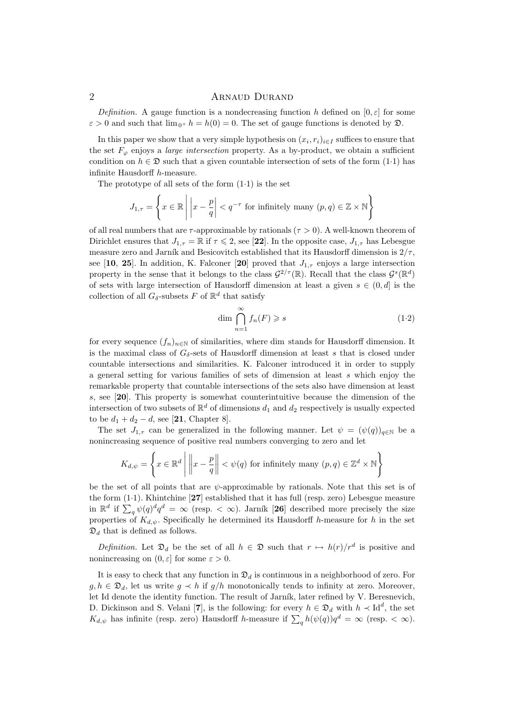Definition. A gauge function is a nondecreasing function h defined on  $[0, \varepsilon]$  for some  $\varepsilon > 0$  and such that  $\lim_{0^+} h = h(0) = 0$ . The set of gauge functions is denoted by  $\mathfrak{D}$ .

In this paper we show that a very simple hypothesis on  $(x_i, r_i)_{i \in I}$  suffices to ensure that the set  $F_{\varphi}$  enjoys a *large intersection* property. As a by-product, we obtain a sufficient condition on  $h \in \mathfrak{D}$  such that a given countable intersection of sets of the form  $(1\cdot 1)$  has infinite Hausdorff h-measure.

The prototype of all sets of the form  $(1.1)$  is the set

$$
J_{1,\tau} = \left\{ x \in \mathbb{R} \mid \left| x - \frac{p}{q} \right| < q^{-\tau} \text{ for infinitely many } (p,q) \in \mathbb{Z} \times \mathbb{N} \right\}
$$

of all real numbers that are  $\tau$ -approximable by rationals ( $\tau > 0$ ). A well-known theorem of Dirichlet ensures that  $J_{1,\tau} = \mathbb{R}$  if  $\tau \leq 2$ , see [22]. In the opposite case,  $J_{1,\tau}$  has Lebesgue measure zero and Jarník and Besicovitch established that its Hausdorff dimension is  $2/\tau$ , see [10, 25]. In addition, K. Falconer [20] proved that  $J_{1,\tau}$  enjoys a large intersection property in the sense that it belongs to the class  $\mathcal{G}^{2/\tau}(\mathbb{R})$ . Recall that the class  $\mathcal{G}^s(\mathbb{R}^d)$ of sets with large intersection of Hausdorff dimension at least a given  $s \in (0,d]$  is the collection of all  $G_{\delta}$ -subsets F of  $\mathbb{R}^d$  that satisfy

$$
\dim \bigcap_{n=1}^{\infty} f_n(F) \geqslant s \tag{1.2}
$$

for every sequence  $(f_n)_{n\in\mathbb{N}}$  of similarities, where dim stands for Hausdorff dimension. It is the maximal class of  $G_{\delta}$ -sets of Hausdorff dimension at least s that is closed under countable intersections and similarities. K. Falconer introduced it in order to supply a general setting for various families of sets of dimension at least s which enjoy the remarkable property that countable intersections of the sets also have dimension at least s, see [20]. This property is somewhat counterintuitive because the dimension of the intersection of two subsets of  $\mathbb{R}^d$  of dimensions  $d_1$  and  $d_2$  respectively is usually expected to be  $d_1 + d_2 - d$ , see [21, Chapter 8].

The set  $J_{1,\tau}$  can be generalized in the following manner. Let  $\psi = (\psi(q))_{q \in \mathbb{N}}$  be a nonincreasing sequence of positive real numbers converging to zero and let

$$
K_{d,\psi} = \left\{ x \in \mathbb{R}^d \mid \left\| x - \frac{p}{q} \right\| < \psi(q) \text{ for infinitely many } (p,q) \in \mathbb{Z}^d \times \mathbb{N} \right\}
$$

be the set of all points that are  $\psi$ -approximable by rationals. Note that this set is of the form (1·1). Khintchine [27] established that it has full (resp. zero) Lebesgue measure in  $\mathbb{R}^d$  if  $\sum_q \psi(q)^d q^d = \infty$  (resp.  $< \infty$ ). Jarník [26] described more precisely the size properties of  $K_{d,\psi}$ . Specifically he determined its Hausdorff h-measure for h in the set  $\mathfrak{D}_d$  that is defined as follows.

Definition. Let  $\mathfrak{D}_d$  be the set of all  $h \in \mathfrak{D}$  such that  $r \mapsto h(r)/r^d$  is positive and nonincreasing on  $(0, \varepsilon]$  for some  $\varepsilon > 0$ .

It is easy to check that any function in  $\mathfrak{D}_d$  is continuous in a neighborhood of zero. For  $g, h \in \mathfrak{D}_d$ , let us write  $g \prec h$  if  $g/h$  monotonically tends to infinity at zero. Moreover, let Id denote the identity function. The result of Jarník, later refined by V. Beresnevich, D. Dickinson and S. Velani [7], is the following: for every  $h \in \mathfrak{D}_d$  with  $h \prec \mathrm{Id}^d$ , the set  $K_{d,\psi}$  has infinite (resp. zero) Hausdorff h-measure if  $\sum_{q} h(\psi(q))q^d = \infty$  (resp.  $< \infty$ ).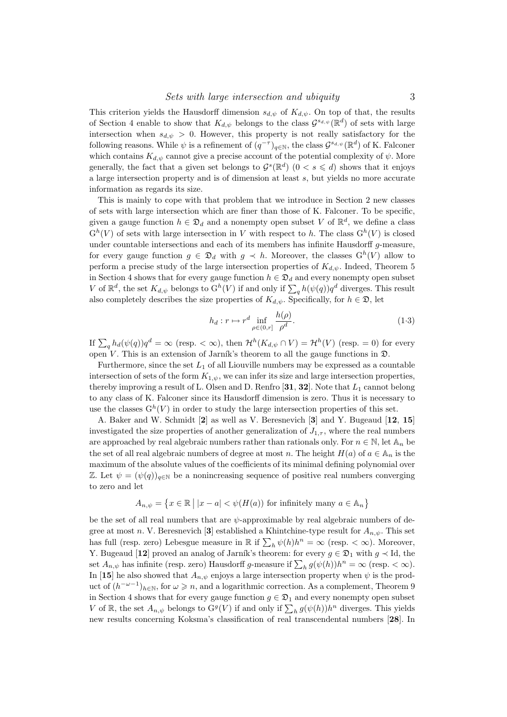This criterion yields the Hausdorff dimension  $s_{d,\psi}$  of  $K_{d,\psi}$ . On top of that, the results of Section 4 enable to show that  $K_{d,\psi}$  belongs to the class  $\mathcal{G}^{s_{d,\psi}}(\mathbb{R}^d)$  of sets with large intersection when  $s_{d,\psi} > 0$ . However, this property is not really satisfactory for the following reasons. While  $\psi$  is a refinement of  $(q^{-\tau})_{q\in\mathbb{N}}$ , the class  $\mathcal{G}^{s_{d,\psi}}(\mathbb{R}^d)$  of K. Falconer which contains  $K_{d,\psi}$  cannot give a precise account of the potential complexity of  $\psi$ . More generally, the fact that a given set belongs to  $\mathcal{G}^s(\mathbb{R}^d)$   $(0 < s \leq d)$  shows that it enjoys a large intersection property and is of dimension at least s, but yields no more accurate information as regards its size.

This is mainly to cope with that problem that we introduce in Section 2 new classes of sets with large intersection which are finer than those of K. Falconer. To be specific, given a gauge function  $h \in \mathfrak{D}_d$  and a nonempty open subset V of  $\mathbb{R}^d$ , we define a class  $G^h(V)$  of sets with large intersection in V with respect to h. The class  $G^h(V)$  is closed under countable intersections and each of its members has infinite Hausdorff  $g$ -measure, for every gauge function  $g \in \mathfrak{D}_d$  with  $g \prec h$ . Moreover, the classes  $G^h(V)$  allow to perform a precise study of the large intersection properties of  $K_{d,\psi}$ . Indeed, Theorem 5 in Section 4 shows that for every gauge function  $h \in \mathfrak{D}_d$  and every nonempty open subset V of  $\mathbb{R}^d$ , the set  $K_{d,\psi}$  belongs to  $G^h(V)$  if and only if  $\sum_q h(\psi(q))q^d$  diverges. This result also completely describes the size properties of  $K_{d,\psi}$ . Specifically, for  $h \in \mathfrak{D}$ , let

$$
h_d: r \mapsto r^d \inf_{\rho \in (0,r]} \frac{h(\rho)}{\rho^d}.\tag{1.3}
$$

If  $\sum_{q} h_d(\psi(q))q^d = \infty$  (resp.  $< \infty$ ), then  $\mathcal{H}^h(K_{d,\psi} \cap V) = \mathcal{H}^h(V)$  (resp. = 0) for every open V. This is an extension of Jarník's theorem to all the gauge functions in  $\mathfrak{D}$ .

Furthermore, since the set  $L_1$  of all Liouville numbers may be expressed as a countable intersection of sets of the form  $K_{1,\psi}$ , we can infer its size and large intersection properties, thereby improving a result of L. Olsen and D. Renfro [31, 32]. Note that  $L_1$  cannot belong to any class of K. Falconer since its Hausdorff dimension is zero. Thus it is necessary to use the classes  $G^h(V)$  in order to study the large intersection properties of this set.

A. Baker and W. Schmidt [2] as well as V. Beresnevich [3] and Y. Bugeaud [12, 15] investigated the size properties of another generalization of  $J_{1,\tau}$ , where the real numbers are approached by real algebraic numbers rather than rationals only. For  $n \in \mathbb{N}$ , let  $\mathbb{A}_n$  be the set of all real algebraic numbers of degree at most n. The height  $H(a)$  of  $a \in \mathbb{A}_n$  is the maximum of the absolute values of the coefficients of its minimal defining polynomial over Z. Let  $\psi = (\psi(q))_{q \in \mathbb{N}}$  be a nonincreasing sequence of positive real numbers converging to zero and let

$$
A_{n,\psi} = \{ x \in \mathbb{R} \mid |x - a| < \psi(H(a)) \text{ for infinitely many } a \in A_n \}
$$

be the set of all real numbers that are  $\psi$ -approximable by real algebraic numbers of degree at most n. V. Beresnevich [3] established a Khintchine-type result for  $A_{n,\psi}$ . This set has full (resp. zero) Lebesgue measure in  $\mathbb R$  if  $\sum_h \psi(h)h^n = \infty$  (resp.  $\langle \infty \rangle$ ). Moreover, Y. Bugeaud [12] proved an analog of Jarník's theorem: for every  $g \in \mathfrak{D}_1$  with  $g \prec \mathrm{Id}$ , the set  $A_{n,\psi}$  has infinite (resp. zero) Hausdorff g-measure if  $\sum_h g(\psi(h))h^n = \infty$  (resp.  $< \infty$ ). In [15] he also showed that  $A_{n,\psi}$  enjoys a large intersection property when  $\psi$  is the product of  $(h^{-\omega-1})_{h\in\mathbb{N}}$ , for  $\omega \geq n$ , and a logarithmic correction. As a complement, Theorem 9 in Section 4 shows that for every gauge function  $g \in \mathfrak{D}_1$  and every nonempty open subset V of R, the set  $A_{n,\psi}$  belongs to  $\mathcal{G}^g(V)$  if and only if  $\sum_h g(\psi(h))h^n$  diverges. This yields new results concerning Koksma's classification of real transcendental numbers [28]. In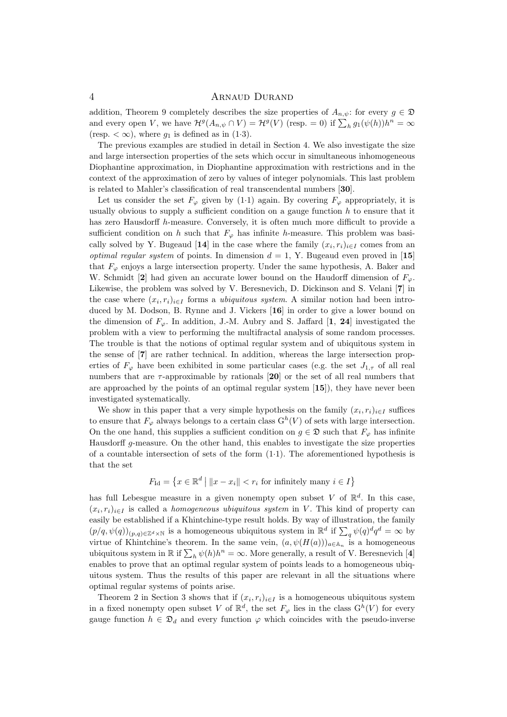addition, Theorem 9 completely describes the size properties of  $A_{n,\psi}$ : for every  $g \in \mathfrak{D}$ and every open V, we have  $\mathcal{H}^g(A_{n,\psi} \cap V) = \mathcal{H}^g(V)$  (resp. = 0) if  $\sum_h g_1(\psi(h))h^n = \infty$ (resp.  $<\infty$ ), where  $g_1$  is defined as in (1.3).

The previous examples are studied in detail in Section 4. We also investigate the size and large intersection properties of the sets which occur in simultaneous inhomogeneous Diophantine approximation, in Diophantine approximation with restrictions and in the context of the approximation of zero by values of integer polynomials. This last problem is related to Mahler's classification of real transcendental numbers [30].

Let us consider the set  $F_{\varphi}$  given by (1·1) again. By covering  $F_{\varphi}$  appropriately, it is usually obvious to supply a sufficient condition on a gauge function  $h$  to ensure that it has zero Hausdorff h-measure. Conversely, it is often much more difficult to provide a sufficient condition on h such that  $F_{\varphi}$  has infinite h-measure. This problem was basically solved by Y. Bugeaud [14] in the case where the family  $(x_i, r_i)_{i \in I}$  comes from an *optimal regular system* of points. In dimension  $d = 1$ , Y. Bugeaud even proved in [15] that  $F_{\varphi}$  enjoys a large intersection property. Under the same hypothesis, A. Baker and W. Schmidt [2] had given an accurate lower bound on the Haudorff dimension of  $F_{\varphi}$ . Likewise, the problem was solved by V. Beresnevich, D. Dickinson and S. Velani [7] in the case where  $(x_i, r_i)_{i \in I}$  forms a *ubiquitous system*. A similar notion had been introduced by M. Dodson, B. Rynne and J. Vickers [16] in order to give a lower bound on the dimension of  $F_{\varphi}$ . In addition, J.-M. Aubry and S. Jaffard [1, 24] investigated the problem with a view to performing the multifractal analysis of some random processes. The trouble is that the notions of optimal regular system and of ubiquitous system in the sense of [7] are rather technical. In addition, whereas the large intersection properties of  $F_{\varphi}$  have been exhibited in some particular cases (e.g. the set  $J_{1,\tau}$  of all real numbers that are  $\tau$ -approximable by rationals [20] or the set of all real numbers that are approached by the points of an optimal regular system  $[15]$ , they have never been investigated systematically.

We show in this paper that a very simple hypothesis on the family  $(x_i, r_i)_{i \in I}$  suffices to ensure that  $F_{\varphi}$  always belongs to a certain class  $G^h(V)$  of sets with large intersection. On the one hand, this supplies a sufficient condition on  $g \in \mathfrak{D}$  such that  $F_{\varphi}$  has infinite Hausdorff g-measure. On the other hand, this enables to investigate the size properties of a countable intersection of sets of the form  $(1\cdot 1)$ . The aforementioned hypothesis is that the set

$$
F_{\text{Id}} = \left\{ x \in \mathbb{R}^d \mid ||x - x_i|| < r_i \text{ for infinitely many } i \in I \right\}
$$

has full Lebesgue measure in a given nonempty open subset V of  $\mathbb{R}^d$ . In this case,  $(x_i, r_i)_{i \in I}$  is called a *homogeneous ubiquitous system* in V. This kind of property can easily be established if a Khintchine-type result holds. By way of illustration, the family  $(p/q, \psi(q))_{(p,q)\in\mathbb{Z}^d\times\mathbb{N}}$  is a homogeneous ubiquitous system in  $\mathbb{R}^d$  if  $\sum_q \psi(q)^dq^d = \infty$  by virtue of Khintchine's theorem. In the same vein,  $(a, \psi(H(a)))_{a \in A_n}$  is a homogeneous ubiquitous system in  $\mathbb R$  if  $\sum_h \psi(h)h^n = \infty$ . More generally, a result of V. Beresnevich [4] enables to prove that an optimal regular system of points leads to a homogeneous ubiquitous system. Thus the results of this paper are relevant in all the situations where optimal regular systems of points arise.

Theorem 2 in Section 3 shows that if  $(x_i, r_i)_{i \in I}$  is a homogeneous ubiquitous system in a fixed nonempty open subset V of  $\mathbb{R}^d$ , the set  $F_{\varphi}$  lies in the class  $G^h(V)$  for every gauge function  $h \in \mathfrak{D}_d$  and every function  $\varphi$  which coincides with the pseudo-inverse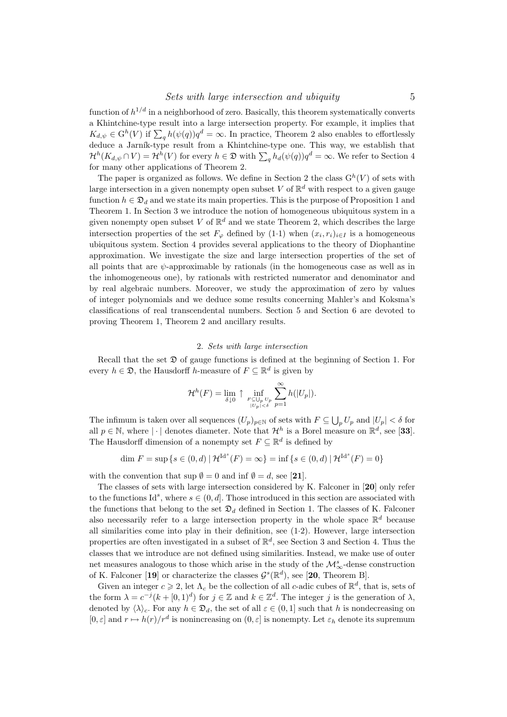function of  $h^{1/d}$  in a neighborhood of zero. Basically, this theorem systematically converts a Khintchine-type result into a large intersection property. For example, it implies that  $K_{d,\psi} \in \mathcal{G}^h(V)$  if  $\sum_{q} h(\psi(q))q^d = \infty$ . In practice, Theorem 2 also enables to effortlessly deduce a Jarník-type result from a Khintchine-type one. This way, we establish that  $\mathcal{H}^h(K_{d,\psi}\cap V)=\mathcal{H}^h(V)$  for every  $h\in\mathfrak{D}$  with  $\sum_q h_d(\psi(q))q^d=\infty$ . We refer to Section 4 for many other applications of Theorem 2.

The paper is organized as follows. We define in Section 2 the class  $G^h(V)$  of sets with large intersection in a given nonempty open subset V of  $\mathbb{R}^d$  with respect to a given gauge function  $h \in \mathfrak{D}_d$  and we state its main properties. This is the purpose of Proposition 1 and Theorem 1. In Section 3 we introduce the notion of homogeneous ubiquitous system in a given nonempty open subset V of  $\mathbb{R}^d$  and we state Theorem 2, which describes the large intersection properties of the set  $F_{\varphi}$  defined by (1.1) when  $(x_i, r_i)_{i \in I}$  is a homogeneous ubiquitous system. Section 4 provides several applications to the theory of Diophantine approximation. We investigate the size and large intersection properties of the set of all points that are  $\psi$ -approximable by rationals (in the homogeneous case as well as in the inhomogeneous one), by rationals with restricted numerator and denominator and by real algebraic numbers. Moreover, we study the approximation of zero by values of integer polynomials and we deduce some results concerning Mahler's and Koksma's classifications of real transcendental numbers. Section 5 and Section 6 are devoted to proving Theorem 1, Theorem 2 and ancillary results.

#### 2. Sets with large intersection

Recall that the set  $\mathfrak D$  of gauge functions is defined at the beginning of Section 1. For every  $h \in \mathfrak{D}$ , the Hausdorff h-measure of  $F \subseteq \mathbb{R}^d$  is given by

$$
\mathcal{H}^{h}(F) = \lim_{\delta \downarrow 0} \uparrow \inf_{\substack{F \subseteq \bigcup_{p} U_p \\ |U_p| < \delta}} \sum_{p=1}^{\infty} h(|U_p|).
$$

The infimum is taken over all sequences  $(U_p)_{p \in \mathbb{N}}$  of sets with  $F \subseteq \bigcup_p U_p$  and  $|U_p| < \delta$  for all  $p \in \mathbb{N}$ , where  $|\cdot|$  denotes diameter. Note that  $\mathcal{H}^h$  is a Borel measure on  $\mathbb{R}^d$ , see [33]. The Hausdorff dimension of a nonempty set  $F \subseteq \mathbb{R}^d$  is defined by

$$
\dim F = \sup \{ s \in (0, d) \mid \mathcal{H}^{\mathrm{Id}^s}(F) = \infty \} = \inf \{ s \in (0, d) \mid \mathcal{H}^{\mathrm{Id}^s}(F) = 0 \}
$$

with the convention that sup  $\emptyset = 0$  and inf  $\emptyset = d$ , see [21].

The classes of sets with large intersection considered by K. Falconer in [20] only refer to the functions  $\mathrm{Id}^s$ , where  $s \in (0, d]$ . Those introduced in this section are associated with the functions that belong to the set  $\mathfrak{D}_d$  defined in Section 1. The classes of K. Falconer also necessarily refer to a large intersection property in the whole space  $\mathbb{R}^d$  because all similarities come into play in their definition, see (1·2). However, large intersection properties are often investigated in a subset of  $\mathbb{R}^d$ , see Section 3 and Section 4. Thus the classes that we introduce are not defined using similarities. Instead, we make use of outer net measures analogous to those which arise in the study of the  $\mathcal{M}^s_\infty$ -dense construction of K. Falconer [19] or characterize the classes  $\mathcal{G}^s(\mathbb{R}^d)$ , see [20, Theorem B].

Given an integer  $c \geqslant 2$ , let  $\Lambda_c$  be the collection of all c-adic cubes of  $\mathbb{R}^d$ , that is, sets of the form  $\lambda = c^{-j}(k + [0, 1]^d)$  for  $j \in \mathbb{Z}$  and  $k \in \mathbb{Z}^d$ . The integer j is the generation of  $\lambda$ , denoted by  $\langle \lambda \rangle_c$ . For any  $h \in \mathfrak{D}_d$ , the set of all  $\varepsilon \in (0,1]$  such that h is nondecreasing on  $[0, \varepsilon]$  and  $r \mapsto h(r)/r^d$  is nonincreasing on  $(0, \varepsilon]$  is nonempty. Let  $\varepsilon_h$  denote its supremum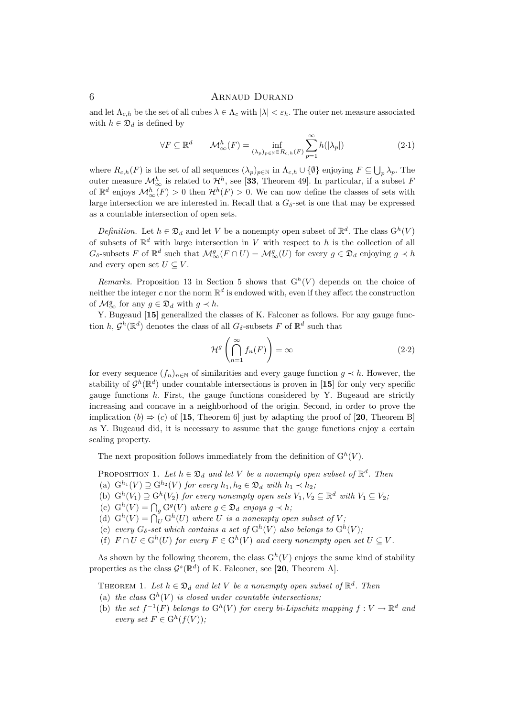and let  $\Lambda_{c,h}$  be the set of all cubes  $\lambda \in \Lambda_c$  with  $|\lambda| < \varepsilon_h$ . The outer net measure associated with  $h \in \mathfrak{D}_d$  is defined by

$$
\forall F \subseteq \mathbb{R}^d \qquad \mathcal{M}_{\infty}^h(F) = \inf_{(\lambda_p)_p \in \mathbb{R}^d \in R_{c,h}(F)} \sum_{p=1}^{\infty} h(|\lambda_p|) \tag{2.1}
$$

where  $R_{c,h}(F)$  is the set of all sequences  $(\lambda_p)_{p\in\mathbb{N}}$  in  $\Lambda_{c,h}\cup\{\emptyset\}$  enjoying  $F\subseteq\bigcup_p\lambda_p$ . The outer measure  $\mathcal{M}_{\infty}^h$  is related to  $\mathcal{H}^h$ , see [33, Theorem 49]. In particular, if a subset F of  $\mathbb{R}^d$  enjoys  $\mathcal{M}_\infty^h(F) > 0$  then  $\mathcal{H}^h(F) > 0$ . We can now define the classes of sets with large intersection we are interested in. Recall that a  $G_{\delta}$ -set is one that may be expressed as a countable intersection of open sets.

*Definition.* Let  $h \in \mathfrak{D}_d$  and let V be a nonempty open subset of  $\mathbb{R}^d$ . The class  $G^h(V)$ of subsets of  $\mathbb{R}^d$  with large intersection in V with respect to h is the collection of all  $G_{\delta}$ -subsets F of  $\mathbb{R}^d$  such that  $\mathcal{M}_{\infty}^g(F \cap U) = \mathcal{M}_{\infty}^g(U)$  for every  $g \in \mathfrak{D}_d$  enjoying  $g \prec h$ and every open set  $U \subseteq V$ .

Remarks. Proposition 13 in Section 5 shows that  $G<sup>h</sup>(V)$  depends on the choice of neither the integer c nor the norm  $\mathbb{R}^d$  is endowed with, even if they affect the construction of  $\mathcal{M}_{\infty}^g$  for any  $g \in \mathfrak{D}_d$  with  $g \prec h$ .

Y. Bugeaud [15] generalized the classes of K. Falconer as follows. For any gauge function  $h, \mathcal{G}^h(\mathbb{R}^d)$  denotes the class of all  $G_{\delta}$ -subsets F of  $\mathbb{R}^d$  such that

$$
\mathcal{H}^g\left(\bigcap_{n=1}^{\infty} f_n(F)\right) = \infty\tag{2.2}
$$

for every sequence  $(f_n)_{n\in\mathbb{N}}$  of similarities and every gauge function  $g \prec h$ . However, the stability of  $\mathcal{G}^h(\mathbb{R}^d)$  under countable intersections is proven in [15] for only very specific gauge functions  $h$ . First, the gauge functions considered by Y. Bugeaud are strictly increasing and concave in a neighborhood of the origin. Second, in order to prove the implication (b)  $\Rightarrow$  (c) of [15, Theorem 6] just by adapting the proof of [20, Theorem B] as Y. Bugeaud did, it is necessary to assume that the gauge functions enjoy a certain scaling property.

The next proposition follows immediately from the definition of  $G^h(V)$ .

PROPOSITION 1. Let  $h \in \mathfrak{D}_d$  and let V be a nonempty open subset of  $\mathbb{R}^d$ . Then

- (a)  $G^{h_1}(V) \supset G^{h_2}(V)$  for every  $h_1, h_2 \in \mathfrak{D}_d$  with  $h_1 \prec h_2$ ;
- (b)  $G^h(V_1) \supseteq G^h(V_2)$  for every nonempty open sets  $V_1, V_2 \subseteq \mathbb{R}^d$  with  $V_1 \subseteq V_2$ ;
- (c)  $G^h(V) = \bigcap_g G^g(V)$  where  $g \in \mathfrak{D}_d$  enjoys  $g \prec h$ ;
- (d)  $G^h(V) = \bigcap_{U}^{v} G^h(U)$  where U is a nonempty open subset of V;
- (e) every  $G_{\delta}$ -set which contains a set of  $G^h(V)$  also belongs to  $G^h(V)$ ;
- (f)  $F \cap U \in \mathcal{G}^h(U)$  for every  $F \in \mathcal{G}^h(V)$  and every nonempty open set  $U \subseteq V$ .

As shown by the following theorem, the class  $G^h(V)$  enjoys the same kind of stability properties as the class  $\mathcal{G}^s(\mathbb{R}^d)$  of K. Falconer, see [20, Theorem A].

THEOREM 1. Let  $h \in \mathfrak{D}_d$  and let V be a nonempty open subset of  $\mathbb{R}^d$ . Then

- (a) the class  $G^h(V)$  is closed under countable intersections;
- (b) the set  $f^{-1}(F)$  belongs to  $G^h(V)$  for every bi-Lipschitz mapping  $f: V \to \mathbb{R}^d$  and every set  $F \in G^h(f(V))$ ;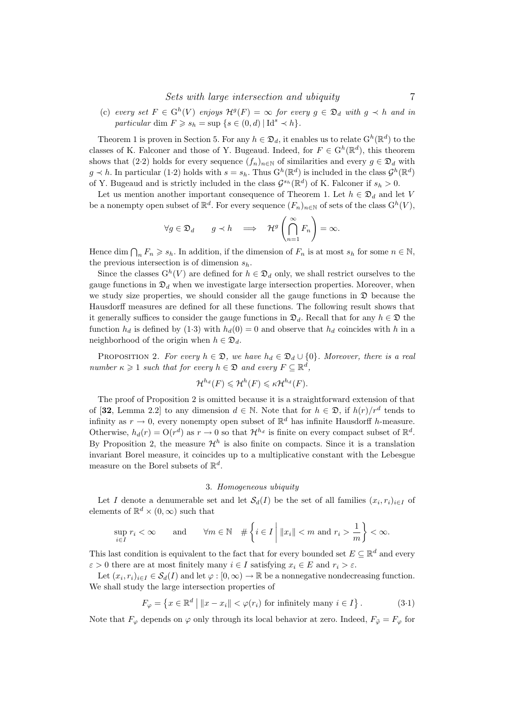(c) every set  $F \in G^h(V)$  enjoys  $\mathcal{H}^g(F) = \infty$  for every  $g \in \mathfrak{D}_d$  with  $g \prec h$  and in particular dim  $F \geq s_h = \sup \{ s \in (0, d) \mid \mathrm{Id}^s \prec h \}.$ 

Theorem 1 is proven in Section 5. For any  $h \in \mathfrak{D}_d$ , it enables us to relate  $G^h(\mathbb{R}^d)$  to the classes of K. Falconer and those of Y. Bugeaud. Indeed, for  $F \in G^h(\mathbb{R}^d)$ , this theorem shows that (2·2) holds for every sequence  $(f_n)_{n\in\mathbb{N}}$  of similarities and every  $g \in \mathfrak{D}_d$  with  $g \prec h$ . In particular (1.2) holds with  $s = s_h$ . Thus  $G^h(\mathbb{R}^d)$  is included in the class  $\mathcal{G}^h(\mathbb{R}^d)$ of Y. Bugeaud and is strictly included in the class  $\mathcal{G}^{s_h}(\mathbb{R}^d)$  of K. Falconer if  $s_h > 0$ .

Let us mention another important consequence of Theorem 1. Let  $h \in \mathfrak{D}_d$  and let V be a nonempty open subset of  $\mathbb{R}^d$ . For every sequence  $(F_n)_{n\in\mathbb{N}}$  of sets of the class  $\mathcal{G}^h(V)$ ,

$$
\forall g \in \mathfrak{D}_d \qquad g \prec h \quad \Longrightarrow \quad \mathcal{H}^g \left( \bigcap_{n=1}^{\infty} F_n \right) = \infty.
$$

Hence dim  $\bigcap_n F_n \geqslant s_h$ . In addition, if the dimension of  $F_n$  is at most  $s_h$  for some  $n \in \mathbb{N}$ , the previous intersection is of dimension  $s_h$ .

Since the classes  $G^h(V)$  are defined for  $h \in \mathfrak{D}_d$  only, we shall restrict ourselves to the gauge functions in  $\mathfrak{D}_d$  when we investigate large intersection properties. Moreover, when we study size properties, we should consider all the gauge functions in  $\mathfrak D$  because the Hausdorff measures are defined for all these functions. The following result shows that it generally suffices to consider the gauge functions in  $\mathfrak{D}_d$ . Recall that for any  $h \in \mathfrak{D}$  the function  $h_d$  is defined by (1.3) with  $h_d(0) = 0$  and observe that  $h_d$  coincides with h in a neighborhood of the origin when  $h \in \mathfrak{D}_d$ .

PROPOSITION 2. For every  $h \in \mathfrak{D}$ , we have  $h_d \in \mathfrak{D}_d \cup \{0\}$ . Moreover, there is a real number  $\kappa \geq 1$  such that for every  $h \in \mathfrak{D}$  and every  $F \subseteq \mathbb{R}^d$ ,

$$
\mathcal{H}^{h_d}(F) \leqslant \mathcal{H}^{h}(F) \leqslant \kappa \mathcal{H}^{h_d}(F).
$$

The proof of Proposition 2 is omitted because it is a straightforward extension of that of [32, Lemma 2.2] to any dimension  $d \in \mathbb{N}$ . Note that for  $h \in \mathfrak{D}$ , if  $h(r)/r^d$  tends to infinity as  $r \to 0$ , every nonempty open subset of  $\mathbb{R}^d$  has infinite Hausdorff h-measure. Otherwise,  $h_d(r) = O(r^d)$  as  $r \to 0$  so that  $\mathcal{H}^{h_d}$  is finite on every compact subset of  $\mathbb{R}^d$ . By Proposition 2, the measure  $\mathcal{H}^h$  is also finite on compacts. Since it is a translation invariant Borel measure, it coincides up to a multiplicative constant with the Lebesgue measure on the Borel subsets of  $\mathbb{R}^d$ .

#### 3. Homogeneous ubiquity

Let I denote a denumerable set and let  $\mathcal{S}_d(I)$  be the set of all families  $(x_i, r_i)_{i \in I}$  of elements of  $\mathbb{R}^d \times (0, \infty)$  such that

$$
\sup_{i\in I} r_i < \infty \qquad \text{and} \qquad \forall m \in \mathbb{N} \quad # \left\{ i \in I \; \middle| \; ||x_i|| < m \text{ and } r_i > \frac{1}{m} \right\} < \infty.
$$

This last condition is equivalent to the fact that for every bounded set  $E \subseteq \mathbb{R}^d$  and every  $\varepsilon > 0$  there are at most finitely many  $i \in I$  satisfying  $x_i \in E$  and  $r_i > \varepsilon$ .

Let  $(x_i, r_i)_{i \in I} \in \mathcal{S}_d(I)$  and let  $\varphi : [0, \infty) \to \mathbb{R}$  be a nonnegative nondecreasing function. We shall study the large intersection properties of

$$
F_{\varphi} = \left\{ x \in \mathbb{R}^d \mid ||x - x_i|| < \varphi(r_i) \text{ for infinitely many } i \in I \right\}. \tag{3.1}
$$

Note that  $F_{\varphi}$  depends on  $\varphi$  only through its local behavior at zero. Indeed,  $F_{\tilde{\varphi}} = F_{\varphi}$  for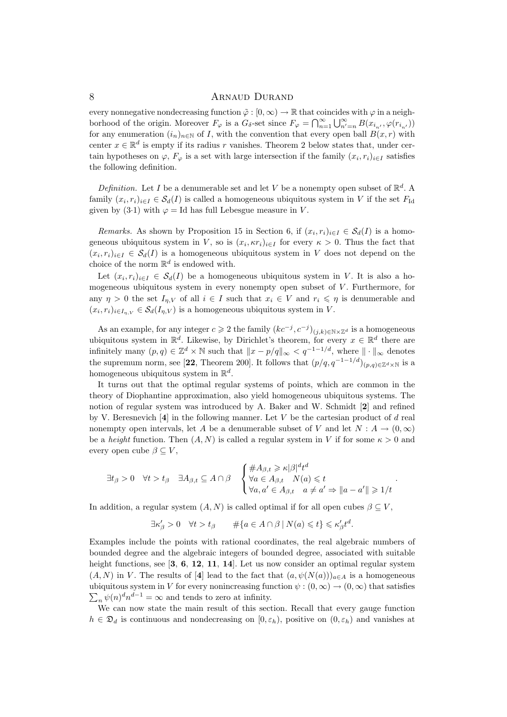every nonnegative nondecreasing function  $\tilde{\varphi} : [0, \infty) \to \mathbb{R}$  that coincides with  $\varphi$  in a neighborhood of the origin. Moreover  $F_{\varphi}$  is a  $G_{\delta}$ -set since  $F_{\varphi} = \bigcap_{n=1}^{\infty} \bigcup_{n'=n}^{\infty} B(x_{i_{n'}}, \varphi(r_{i_{n'}}))$ for any enumeration  $(i_n)_{n\in\mathbb{N}}$  of I, with the convention that every open ball  $B(x, r)$  with center  $x \in \mathbb{R}^d$  is empty if its radius r vanishes. Theorem 2 below states that, under certain hypotheses on  $\varphi$ ,  $F_{\varphi}$  is a set with large intersection if the family  $(x_i, r_i)_{i \in I}$  satisfies the following definition.

Definition. Let I be a denumerable set and let V be a nonempty open subset of  $\mathbb{R}^d$ . A family  $(x_i, r_i)_{i \in I} \in S_d(I)$  is called a homogeneous ubiquitous system in V if the set  $F_{\text{Id}}$ given by (3.1) with  $\varphi = Id$  has full Lebesgue measure in V.

*Remarks.* As shown by Proposition 15 in Section 6, if  $(x_i, r_i)_{i \in I} \in S_d(I)$  is a homogeneous ubiquitous system in V, so is  $(x_i, \kappa r_i)_{i \in I}$  for every  $\kappa > 0$ . Thus the fact that  $(x_i, r_i)_{i \in I} \in S_d(I)$  is a homogeneous ubiquitous system in V does not depend on the choice of the norm  $\mathbb{R}^d$  is endowed with.

Let  $(x_i, r_i)_{i \in I} \in S_d(I)$  be a homogeneous ubiquitous system in V. It is also a homogeneous ubiquitous system in every nonempty open subset of  $V$ . Furthermore, for any  $\eta > 0$  the set  $I_{\eta,V}$  of all  $i \in I$  such that  $x_i \in V$  and  $r_i \leq \eta$  is denumerable and  $(x_i, r_i)_{i \in I_{\eta,V}} \in \mathcal{S}_d(I_{\eta,V})$  is a homogeneous ubiquitous system in V.

As an example, for any integer  $c \geq 2$  the family  $(kc^{-j}, c^{-j})_{(j,k)\in\mathbb{N}\times\mathbb{Z}^d}$  is a homogeneous ubiquitous system in  $\mathbb{R}^d$ . Likewise, by Dirichlet's theorem, for every  $x \in \mathbb{R}^d$  there are infinitely many  $(p, q) \in \mathbb{Z}^d \times \mathbb{N}$  such that  $||x - p/q||_{\infty} < q^{-1-1/d}$ , where  $|| \cdot ||_{\infty}$  denotes the supremum norm, see [22, Theorem 200]. It follows that  $(p/q, q^{-1-1/d})_{(p,q)\in\mathbb{Z}^d\times\mathbb{N}}$  is a homogeneous ubiquitous system in  $\mathbb{R}^d$ .

It turns out that the optimal regular systems of points, which are common in the theory of Diophantine approximation, also yield homogeneous ubiquitous systems. The notion of regular system was introduced by A. Baker and W. Schmidt [2] and refined by V. Beresnevich  $[4]$  in the following manner. Let V be the cartesian product of d real nonempty open intervals, let A be a denumerable subset of V and let  $N : A \to (0, \infty)$ be a height function. Then  $(A, N)$  is called a regular system in V if for some  $\kappa > 0$  and every open cube  $\beta \subseteq V$ ,

$$
\exists t_{\beta} > 0 \quad \forall t > t_{\beta} \quad \exists A_{\beta,t} \subseteq A \cap \beta \quad \begin{cases} \#A_{\beta,t} \geq \kappa |\beta|^{d} t^{d} \\ \forall a \in A_{\beta,t} \quad N(a) \leqslant t \\ \forall a, a' \in A_{\beta,t} \quad a \neq a' \Rightarrow ||a - a'|| \geqslant 1/t \end{cases}.
$$

In addition, a regular system  $(A, N)$  is called optimal if for all open cubes  $\beta \subseteq V$ ,

$$
\exists \kappa'_{\beta} > 0 \quad \forall t > t_{\beta} \qquad \#\{a \in A \cap \beta \mid N(a) \leqslant t\} \leqslant \kappa'_{\beta} t^d.
$$

Examples include the points with rational coordinates, the real algebraic numbers of bounded degree and the algebraic integers of bounded degree, associated with suitable height functions, see [3, 6, 12, 11, 14]. Let us now consider an optimal regular system  $(A, N)$  in V. The results of [4] lead to the fact that  $(a, \psi(N(a)))_{a \in A}$  is a homogeneous ubiquitous system in V for every nonincreasing function  $\psi : (0, \infty) \to (0, \infty)$  that satisfies  $\sum_n \psi(n)^d n^{d-1} = \infty$  and tends to zero at infinity.

We can now state the main result of this section. Recall that every gauge function  $h \in \mathfrak{D}_d$  is continuous and nondecreasing on  $[0, \varepsilon_h)$ , positive on  $(0, \varepsilon_h)$  and vanishes at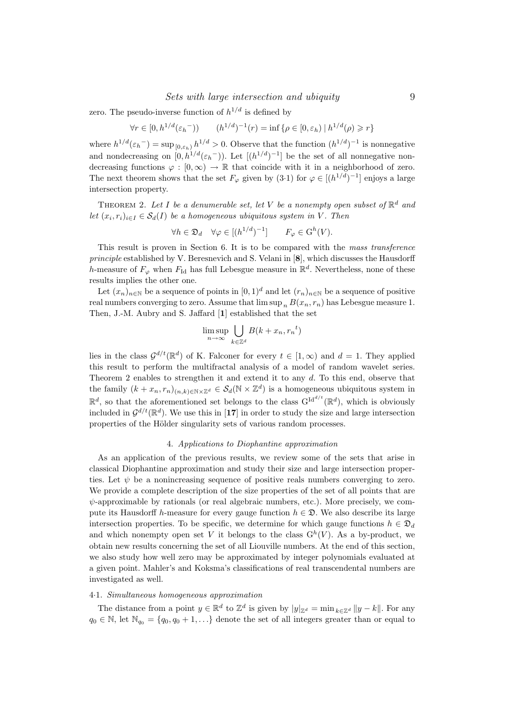zero. The pseudo-inverse function of  $h^{1/d}$  is defined by

 $\forall r \in [0, h^{1/d}(\varepsilon_h^{-}))$   $(h^{1/d})^{-1}(r) = \inf \{ \rho \in [0, \varepsilon_h) \mid h^{1/d}(\rho) \ge r \}$ 

where  $h^{1/d}(\varepsilon_h^-) = \sup_{[0,\varepsilon_h]} h^{1/d} > 0$ . Observe that the function  $(h^{1/d})^{-1}$  is nonnegative and nondecreasing on  $[0, h^{1/d}(\varepsilon_h^{-}))$ . Let  $[(h^{1/d})^{-1}]$  be the set of all nonnegative nondecreasing functions  $\varphi : [0, \infty) \to \mathbb{R}$  that coincide with it in a neighborhood of zero. The next theorem shows that the set  $F_{\varphi}$  given by (3.1) for  $\varphi \in [(h^{1/d})^{-1}]$  enjoys a large intersection property.

THEOREM 2. Let I be a denumerable set, let V be a nonempty open subset of  $\mathbb{R}^d$  and let  $(x_i, r_i)_{i \in I} \in \mathcal{S}_d(I)$  be a homogeneous ubiquitous system in V. Then

$$
\forall h \in \mathfrak{D}_d \quad \forall \varphi \in [(h^{1/d})^{-1}] \qquad F_{\varphi} \in \mathcal{G}^h(V).
$$

This result is proven in Section 6. It is to be compared with the mass transference principle established by V. Beresnevich and S. Velani in [8], which discusses the Hausdorff h-measure of  $F_{\varphi}$  when  $F_{\text{Id}}$  has full Lebesgue measure in  $\mathbb{R}^d$ . Nevertheless, none of these results implies the other one.

Let  $(x_n)_{n\in\mathbb{N}}$  be a sequence of points in  $[0,1]^d$  and let  $(r_n)_{n\in\mathbb{N}}$  be a sequence of positive real numbers converging to zero. Assume that  $\limsup_n B(x_n, r_n)$  has Lebesgue measure 1. Then, J.-M. Aubry and S. Jaffard [1] established that the set

$$
\limsup_{n \to \infty} \bigcup_{k \in \mathbb{Z}^d} B(k + x_n, r_n^{-t})
$$

lies in the class  $\mathcal{G}^{d/t}(\mathbb{R}^d)$  of K. Falconer for every  $t \in [1,\infty)$  and  $d = 1$ . They applied this result to perform the multifractal analysis of a model of random wavelet series. Theorem 2 enables to strengthen it and extend it to any d. To this end, observe that the family  $(k + x_n, r_n)_{(n,k)\in\mathbb{N}\times\mathbb{Z}^d} \in \mathcal{S}_d(\mathbb{N}\times\mathbb{Z}^d)$  is a homogeneous ubiquitous system in  $\mathbb{R}^d$ , so that the aforementioned set belongs to the class  $G^{\text{Id}^{d/t}}(\mathbb{R}^d)$ , which is obviously included in  $\mathcal{G}^{d/t}(\mathbb{R}^d)$ . We use this in [17] in order to study the size and large intersection properties of the Hölder singularity sets of various random processes.

#### 4. Applications to Diophantine approximation

As an application of the previous results, we review some of the sets that arise in classical Diophantine approximation and study their size and large intersection properties. Let  $\psi$  be a nonincreasing sequence of positive reals numbers converging to zero. We provide a complete description of the size properties of the set of all points that are  $\psi$ -approximable by rationals (or real algebraic numbers, etc.). More precisely, we compute its Hausdorff h-measure for every gauge function  $h \in \mathfrak{D}$ . We also describe its large intersection properties. To be specific, we determine for which gauge functions  $h \in \mathfrak{D}_d$ and which nonempty open set V it belongs to the class  $G^h(V)$ . As a by-product, we obtain new results concerning the set of all Liouville numbers. At the end of this section, we also study how well zero may be approximated by integer polynomials evaluated at a given point. Mahler's and Koksma's classifications of real transcendental numbers are investigated as well.

#### 4·1. Simultaneous homogeneous approximation

The distance from a point  $y \in \mathbb{R}^d$  to  $\mathbb{Z}^d$  is given by  $|y|_{\mathbb{Z}^d} = \min_{k \in \mathbb{Z}^d} ||y - k||$ . For any  $q_0 \in \mathbb{N}$ , let  $\mathbb{N}_{q_0} = \{q_0, q_0 + 1, \ldots\}$  denote the set of all integers greater than or equal to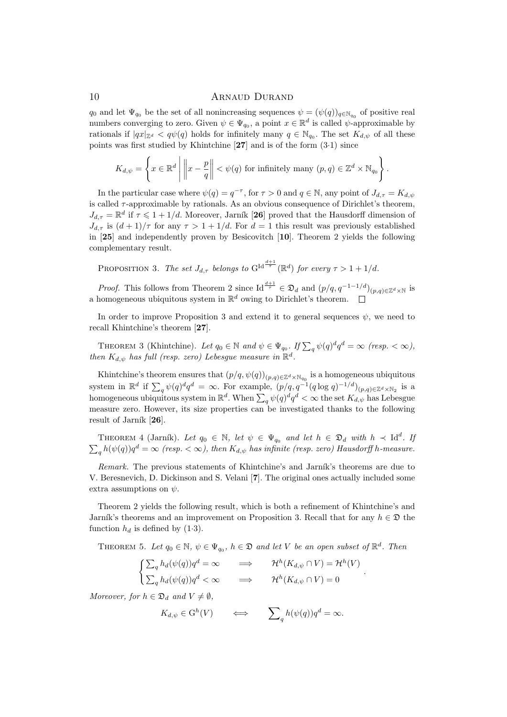$q_0$  and let  $\Psi_{q_0}$  be the set of all nonincreasing sequences  $\psi = (\psi(q))_{q \in \mathbb{N}_{q_0}}$  of positive real numbers converging to zero. Given  $\psi \in \Psi_{q_0}$ , a point  $x \in \mathbb{R}^d$  is called  $\psi$ -approximable by rationals if  $|qx|_{\mathbb{Z}^d} < q\psi(q)$  holds for infinitely many  $q \in \mathbb{N}_{q_0}$ . The set  $K_{d,\psi}$  of all these points was first studied by Khintchine  $[27]$  and is of the form  $(3.1)$  since

$$
K_{d,\psi} = \left\{ x \in \mathbb{R}^d \mid \left\| x - \frac{p}{q} \right\| < \psi(q) \text{ for infinitely many } (p,q) \in \mathbb{Z}^d \times \mathbb{N}_{q_0} \right\}.
$$

In the particular case where  $\psi(q) = q^{-\tau}$ , for  $\tau > 0$  and  $q \in \mathbb{N}$ , any point of  $J_{d,\tau} = K_{d,\psi}$ is called  $\tau$ -approximable by rationals. As an obvious consequence of Dirichlet's theorem,  $J_{d,\tau} = \mathbb{R}^d$  if  $\tau \leq 1 + 1/d$ . Moreover, Jarník [26] proved that the Hausdorff dimension of  $J_{d,\tau}$  is  $(d+1)/\tau$  for any  $\tau > 1 + 1/d$ . For  $d = 1$  this result was previously established in [25] and independently proven by Besicovitch [10]. Theorem 2 yields the following complementary result.

PROPOSITION 3. The set  $J_{d,\tau}$  belongs to  $G^{\text{Id}\frac{d+1}{\tau}}(\mathbb{R}^d)$  for every  $\tau > 1 + 1/d$ .

*Proof.* This follows from Theorem 2 since Id<sup> $\frac{d+1}{\tau} \in \mathfrak{D}_d$  and  $(p/q, q^{-1-1/d})_{(p,q)\in\mathbb{Z}^d\times\mathbb{N}}$  is</sup> a homogeneous ubiquitous system in  $\mathbb{R}^d$  owing to Dirichlet's theorem.

In order to improve Proposition 3 and extend it to general sequences  $\psi$ , we need to recall Khintchine's theorem [27].

THEOREM 3 (Khintchine). Let  $q_0 \in \mathbb{N}$  and  $\psi \in \Psi_{q_0}$ . If  $\sum_q \psi(q)^dq^d = \infty$  (resp.  $\langle \infty \rangle$ ), then  $K_{d,\psi}$  has full (resp. zero) Lebesgue measure in  $\mathbb{R}^d$ .

Khintchine's theorem ensures that  $(p/q, \psi(q))_{(p,q)\in \mathbb{Z}^d \times \mathbb{N}_{q_0}}$  is a homogeneous ubiquitous system in  $\mathbb{R}^d$  if  $\sum_q \psi(q)^dq^d = \infty$ . For example,  $(p/q, q^{-1}(q \log q)^{-1/d})_{(p,q)\in \mathbb{Z}^d \times \mathbb{N}_2}$  is a homogeneous ubiquitous system in  $\mathbb{R}^d$ . When  $\sum_q \psi(q)^dq^d < \infty$  the set  $K_{d,\psi}$  has Lebesgue measure zero. However, its size properties can be investigated thanks to the following result of Jarník  $[26]$ .

THEOREM 4 (Jarník). Let  $q_0 \in \mathbb{N}$ , let  $\psi \in \Psi_{q_0}$  and let  $h \in \mathfrak{D}_d$  with  $h \prec \mathrm{Id}^d$ . If  $\sum_{q} h(\psi(q))q^d = \infty$  (resp.  $< \infty$ ), then  $K_{d,\psi}$  has infinite (resp. zero) Hausdorff h-measure.

Remark. The previous statements of Khintchine's and Jarník's theorems are due to V. Beresnevich, D. Dickinson and S. Velani [7]. The original ones actually included some extra assumptions on  $\psi$ .

Theorem 2 yields the following result, which is both a refinement of Khintchine's and Jarník's theorems and an improvement on Proposition 3. Recall that for any  $h \in \mathfrak{D}$  the function  $h_d$  is defined by (1.3).

THEOREM 5. Let  $q_0 \in \mathbb{N}$ ,  $\psi \in \Psi_{q_0}$ ,  $h \in \mathfrak{D}$  and let V be an open subset of  $\mathbb{R}^d$ . Then

 $\int \sum_{q} h_d(\psi(q))q^d = \infty \qquad \Longrightarrow \qquad \mathcal{H}^h(K_{d,\psi} \cap V) = \mathcal{H}^h(V)$  $\sum_{q} h_d(\psi(q))q^d < \infty \qquad \Longrightarrow \qquad \mathcal{H}^h(K_{d,\psi} \cap V) = 0$ 

.

Moreover, for  $h \in \mathfrak{D}_d$  and  $V \neq \emptyset$ 

$$
K_{d,\psi} \in \mathcal{G}^h(V) \qquad \Longleftrightarrow \qquad \sum_{q} h(\psi(q))q^d = \infty.
$$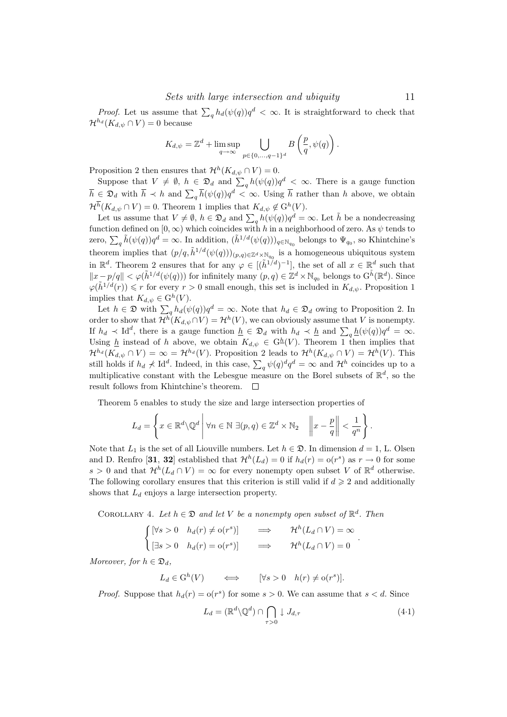*Proof.* Let us assume that  $\sum_{q} h_d(\psi(q))q^d < \infty$ . It is straightforward to check that  $\mathcal{H}^{h_d}(K_{d,\psi}\cap V)=0$  because

$$
K_{d,\psi} = \mathbb{Z}^d + \limsup_{q \to \infty} \bigcup_{p \in \{0, \dots, q-1\}^d} B\left(\frac{p}{q}, \psi(q)\right).
$$

Proposition 2 then ensures that  $\mathcal{H}^h(K_{d,\psi} \cap V) = 0$ .

Suppose that  $V \neq \emptyset$ ,  $h \in \mathfrak{D}_d$  and  $\sum_q h(\psi(q))q^d < \infty$ . There is a gauge function  $\overline{h} \in \mathfrak{D}_d$  with  $\overline{h} \prec h$  and  $\sum_q \overline{h}(\psi(q))q^d < \infty$ . Using  $\overline{h}$  rather than h above, we obtain  $\mathcal{H}^h(K_{d,\psi} \cap V) = 0.$  Theorem 1 implies that  $K_{d,\psi} \notin \mathcal{G}^h(V)$ .

Let us assume that  $V \neq \emptyset$ ,  $h \in \mathfrak{D}_d$  and  $\sum_q h(\psi(q))q^d = \infty$ . Let  $\tilde{h}$  be a nondecreasing function defined on  $[0, \infty)$  which coincides with h in a neighborhood of zero. As  $\psi$  tends to zero,  $\sum_{q} \tilde{h}(\psi(q))q^d = \infty$ . In addition,  $(\tilde{h}^{1/d}(\psi(q)))_{q \in \mathbb{N}_{q_0}}$  belongs to  $\Psi_{q_0}$ , so Khintchine's theorem implies that  $(p/q, \tilde{h}^{1/d}(\psi(q)))_{(p,q)\in\mathbb{Z}^d\times\mathbb{N}_{q_0}}$  is a homogeneous ubiquitous system in  $\mathbb{R}^d$ . Theorem 2 ensures that for any  $\varphi \in [(\tilde{h}^{1/d})^{-1}]$ , the set of all  $x \in \mathbb{R}^d$  such that  $||x-p/q|| < \varphi(\tilde{h}^{1/d}(\psi(q)))$  for infinitely many  $(p,q) \in \mathbb{Z}^d \times \mathbb{N}_{q_0}$  belongs to  $G^{\tilde{h}}(\mathbb{R}^d)$ . Since  $\varphi(\tilde{h}^{1/d}(r)) \leq r$  for every  $r > 0$  small enough, this set is included in  $K_{d,\psi}$ . Proposition 1 implies that  $K_{d,\psi} \in \mathcal{G}^h(V)$ .

Let  $h \in \mathfrak{D}$  with  $\sum_{q} h_d(\psi(q))q^d = \infty$ . Note that  $h_d \in \mathfrak{D}_d$  owing to Proposition 2. In order to show that  $\mathcal{H}^h(K_{d,\psi} \cap V) = \mathcal{H}^h(V)$ , we can obviously assume that V is nonempty. If  $h_d \prec \mathrm{Id}^d$ , there is a gauge function  $\underline{h} \in \mathfrak{D}_d$  with  $h_d \prec \underline{h}$  and  $\sum_q \underline{h}(\psi(q))q^d = \infty$ . Using  $\underline{h}$  instead of h above, we obtain  $K_{d,\psi} \in G^{\underline{h}}(V)$ . Theorem 1 then implies that  $\mathcal{H}^{h_d}(K_{d,\psi}\cap V) = \infty = \mathcal{H}^{h_d}(V)$ . Proposition 2 leads to  $\mathcal{H}^h(K_{d,\psi}\cap V) = \mathcal{H}^h(V)$ . This still holds if  $h_d \not\prec \text{Id}^d$ . Indeed, in this case,  $\sum_q \psi(q)^d q^d = \infty$  and  $\mathcal{H}^h$  coincides up to a multiplicative constant with the Lebesgue measure on the Borel subsets of  $\mathbb{R}^d$ , so the result follows from Khintchine's theorem.

Theorem 5 enables to study the size and large intersection properties of

$$
L_d = \left\{ x \in \mathbb{R}^d \setminus \mathbb{Q}^d \, \middle| \, \forall n \in \mathbb{N} \; \exists (p, q) \in \mathbb{Z}^d \times \mathbb{N}_2 \quad \left\| x - \frac{p}{q} \right\| < \frac{1}{q^n} \right\}.
$$

Note that  $L_1$  is the set of all Liouville numbers. Let  $h \in \mathfrak{D}$ . In dimension  $d = 1$ , L. Olsen and D. Renfro [31, 32] established that  $\mathcal{H}^h(L_d) = 0$  if  $h_d(r) = o(r^s)$  as  $r \to 0$  for some s > 0 and that  $\mathcal{H}^h(L_d \cap V) = \infty$  for every nonempty open subset V of  $\mathbb{R}^d$  otherwise. The following corollary ensures that this criterion is still valid if  $d \geqslant 2$  and additionally shows that  $L_d$  enjoys a large intersection property.

COROLLARY 4. Let  $h \in \mathfrak{D}$  and let V be a nonempty open subset of  $\mathbb{R}^d$ . Then

$$
\begin{cases}\n[\forall s > 0 & h_d(r) \neq o(r^s)] & \implies & \mathcal{H}^h(L_d \cap V) = \infty \\
[\exists s > 0 & h_d(r) = o(r^s)] & \implies & \mathcal{H}^h(L_d \cap V) = 0\n\end{cases}.
$$

Moreover, for  $h \in \mathfrak{D}_d$ ,

 $L_d \in G^h(V) \qquad \Longleftrightarrow \qquad [\forall s > 0 \quad h(r) \neq o(r^s)].$ 

*Proof.* Suppose that  $h_d(r) = o(r^s)$  for some  $s > 0$ . We can assume that  $s < d$ . Since

$$
L_d = (\mathbb{R}^d \setminus \mathbb{Q}^d) \cap \bigcap_{\tau > 0} \downarrow J_{d,\tau} \tag{4.1}
$$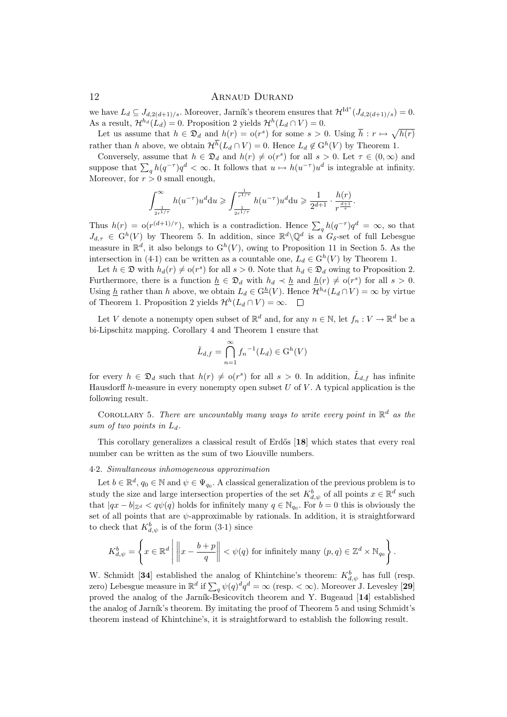we have  $L_d \subseteq J_{d,2(d+1)/s}$ . Moreover, Jarník's theorem ensures that  $\mathcal{H}^{\mathrm{Id}^s}(J_{d,2(d+1)/s}) = 0$ . As a result,  $\mathcal{H}^{h_d}(L_d) = 0$ . Proposition 2 yields  $\mathcal{H}^h(L_d \cap V) = 0$ .

Let us assume that  $h \in \mathfrak{D}_d$  and  $h(r) = o(r^s)$  for some  $s > 0$ . Using  $\bar{h}: r \mapsto \sqrt{h(r)}$ rather than h above, we obtain  $\mathcal{H}^h(L_d \cap V) = 0$ . Hence  $L_d \notin \mathcal{G}^h(V)$  by Theorem 1.

Conversely, assume that  $h \in \mathfrak{D}_d$  and  $h(r) \neq o(r^s)$  for all  $s > 0$ . Let  $\tau \in (0, \infty)$  and suppose that  $\sum_{q} h(q^{-\tau})q^d < \infty$ . It follows that  $u \mapsto h(u^{-\tau})u^d$  is integrable at infinity. Moreover, for  $r > 0$  small enough,

$$
\int_{\frac{1}{2r^{1/\tau}}}^{\infty} h(u^{-\tau}) u^d \mathrm{d}u \geqslant \int_{\frac{1}{2r^{1/\tau}}}^{\frac{1}{r^{1/\tau}}} h(u^{-\tau}) u^d \mathrm{d}u \geqslant \frac{1}{2^{d+1}} \cdot \frac{h(r)}{r^{\frac{d+1}{\tau}}}.
$$

Thus  $h(r) = o(r^{(d+1)/\tau})$ , which is a contradiction. Hence  $\sum_q h(q^{-\tau})q^d = \infty$ , so that  $J_{d,\tau} \in G^h(V)$  by Theorem 5. In addition, since  $\mathbb{R}^d \setminus \mathbb{Q}^d$  is a  $G_{\delta}$ -set of full Lebesgue measure in  $\mathbb{R}^d$ , it also belongs to  $G^h(V)$ , owing to Proposition 11 in Section 5. As the intersection in (4.1) can be written as a countable one,  $L_d \in G^h(V)$  by Theorem 1.

Let  $h \in \mathfrak{D}$  with  $h_d(r) \neq o(r^s)$  for all  $s > 0$ . Note that  $h_d \in \mathfrak{D}_d$  owing to Proposition 2. Furthermore, there is a function  $\underline{h} \in \mathfrak{D}_d$  with  $h_d \prec \underline{h}$  and  $\underline{h}(r) \neq o(r^s)$  for all  $s > 0$ . Using  $\underline{h}$  rather than h above, we obtain  $L_d \in \mathrm{G}^{\underline{h}}(V)$ . Hence  $\mathcal{H}^{h_d}(L_d \cap V) = \infty$  by virtue of Theorem 1. Proposition 2 yields  $\mathcal{H}^h(L_d \cap V) = \infty$ .

Let V denote a nonempty open subset of  $\mathbb{R}^d$  and, for any  $n \in \mathbb{N}$ , let  $f_n : V \to \mathbb{R}^d$  be a bi-Lipschitz mapping. Corollary 4 and Theorem 1 ensure that

$$
\tilde{L}_{d,f} = \bigcap_{n=1}^{\infty} f_n^{-1}(L_d) \in \mathcal{G}^h(V)
$$

for every  $h \in \mathfrak{D}_d$  such that  $h(r) \neq o(r^s)$  for all  $s > 0$ . In addition,  $\tilde{L}_{d,f}$  has infinite Hausdorff h-measure in every nonempty open subset  $U$  of  $V$ . A typical application is the following result.

COROLLARY 5. There are uncountably many ways to write every point in  $\mathbb{R}^d$  as the sum of two points in  $L_d$ .

This corollary generalizes a classical result of Erdős [18] which states that every real number can be written as the sum of two Liouville numbers.

## 4·2. Simultaneous inhomogeneous approximation

Let  $b \in \mathbb{R}^d$ ,  $q_0 \in \mathbb{N}$  and  $\psi \in \Psi_{q_0}$ . A classical generalization of the previous problem is to study the size and large intersection properties of the set  $K_{d,\psi}^b$  of all points  $x \in \mathbb{R}^d$  such that  $|qx - b|_{\mathbb{Z}^d} < q\psi(q)$  holds for infinitely many  $q \in \mathbb{N}_{q_0}$ . For  $b = 0$  this is obviously the set of all points that are  $\psi$ -approximable by rationals. In addition, it is straightforward to check that  $K_{d,\psi}^b$  is of the form  $(3.1)$  since

$$
K_{d,\psi}^b = \left\{ x \in \mathbb{R}^d \, \middle| \, \left\| x - \frac{b+p}{q} \right\| < \psi(q) \text{ for infinitely many } (p,q) \in \mathbb{Z}^d \times \mathbb{N}_{q_0} \right\}.
$$

W. Schmidt [34] established the analog of Khintchine's theorem:  $K_{d,\psi}^b$  has full (resp. zero) Lebesgue measure in  $\mathbb{R}^d$  if  $\sum_q \psi(q)^dq^d = \infty$  (resp. <  $\infty$ ). Moreover J. Levesley [29] proved the analog of the Jarník-Besicovitch theorem and Y. Bugeaud  $[14]$  established the analog of Jarník's theorem. By imitating the proof of Theorem 5 and using Schmidt's theorem instead of Khintchine's, it is straightforward to establish the following result.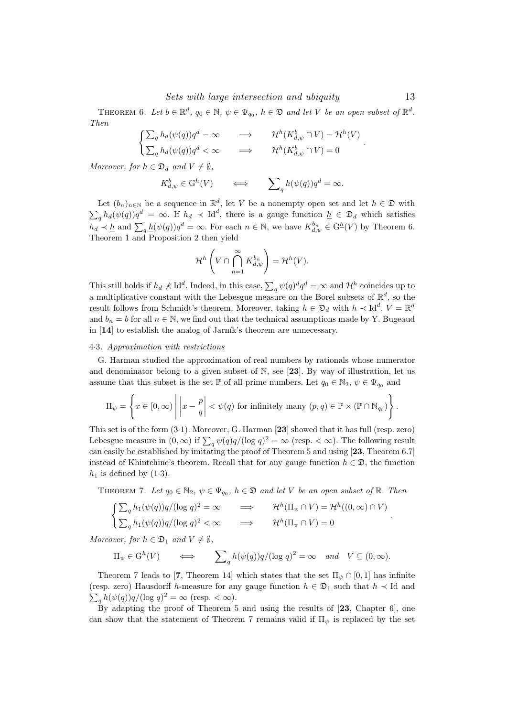THEOREM 6. Let  $b \in \mathbb{R}^d$ ,  $q_0 \in \mathbb{N}$ ,  $\psi \in \Psi_{q_0}$ ,  $h \in \mathfrak{D}$  and let V be an open subset of  $\mathbb{R}^d$ . Then

$$
\begin{cases} \sum_{q} h_d(\psi(q))q^d = \infty & \implies & \mathcal{H}^h(K^b_{d,\psi} \cap V) = \mathcal{H}^h(V) \\ \sum_{q} h_d(\psi(q))q^d < \infty & \implies & \mathcal{H}^h(K^b_{d,\psi} \cap V) = 0 \end{cases}.
$$

Moreover, for  $h \in \mathfrak{D}_d$  and  $V \neq \emptyset$ ,

$$
K_{d,\psi}^b \in \mathcal{G}^h(V) \qquad \Longleftrightarrow \qquad \sum_{q} h(\psi(q))q^d = \infty.
$$

Let  $(b_n)_{n\in\mathbb{N}}$  be a sequence in  $\mathbb{R}^d$ , let V be a nonempty open set and let  $h \in \mathfrak{D}$  with  $\sum_{q} h_d(\psi(q))q^d = \infty$ . If  $h_d \prec \mathrm{Id}^d$ , there is a gauge function  $\underline{h} \in \mathfrak{D}_d$  which satisfies  $h_d \prec \underline{h}$  and  $\sum_q \underline{h}(\psi(q))q^d = \infty$ . For each  $n \in \mathbb{N}$ , we have  $K_{d,\psi}^{b_n} \in \mathcal{G}^{\underline{h}}(V)$  by Theorem 6. Theorem 1 and Proposition 2 then yield

$$
\mathcal{H}^h\left(V\cap\bigcap_{n=1}^{\infty} K_{d,\psi}^{b_n}\right)=\mathcal{H}^h(V).
$$

This still holds if  $h_d \not\prec \text{Id}^d$ . Indeed, in this case,  $\sum_q \psi(q)^d q^d = \infty$  and  $\mathcal{H}^h$  coincides up to a multiplicative constant with the Lebesgue measure on the Borel subsets of  $\mathbb{R}^d$ , so the result follows from Schmidt's theorem. Moreover, taking  $h \in \mathfrak{D}_d$  with  $h \prec \mathrm{Id}^d$ ,  $V = \mathbb{R}^d$ and  $b_n = b$  for all  $n \in \mathbb{N}$ , we find out that the technical assumptions made by Y. Bugeaud in  $[14]$  to establish the analog of Jarník's theorem are unnecessary.

#### 4·3. Approximation with restrictions

G. Harman studied the approximation of real numbers by rationals whose numerator and denominator belong to a given subset of  $\mathbb{N}$ , see [23]. By way of illustration, let us assume that this subset is the set  $\mathbb P$  of all prime numbers. Let  $q_0 \in \mathbb N_2$ ,  $\psi \in \Psi_{q_0}$  and

$$
\Pi_{\psi} = \left\{ x \in [0, \infty) \middle| \left| x - \frac{p}{q} \right| < \psi(q) \text{ for infinitely many } (p, q) \in \mathbb{P} \times (\mathbb{P} \cap \mathbb{N}_{q_0}) \right\}.
$$

This set is of the form (3·1). Moreover, G. Harman [23] showed that it has full (resp. zero) Lebesgue measure in  $(0, \infty)$  if  $\sum_q \psi(q)q/(\log q)^2 = \infty$  (resp. <  $\infty$ ). The following result can easily be established by imitating the proof of Theorem 5 and using [23, Theorem 6.7] instead of Khintchine's theorem. Recall that for any gauge function  $h \in \mathfrak{D}$ , the function  $h_1$  is defined by  $(1·3)$ .

THEOREM 7. Let  $q_0 \in \mathbb{N}_2$ ,  $\psi \in \Psi_{q_0}$ ,  $h \in \mathfrak{D}$  and let V be an open subset of  $\mathbb{R}$ . Then

$$
\begin{cases} \sum_{q} h_1(\psi(q))q/(\log q)^2 = \infty & \implies & \mathcal{H}^h(\Pi_{\psi} \cap V) = \mathcal{H}^h((0, \infty) \cap V) \\ \sum_{q} h_1(\psi(q))q/(\log q)^2 < \infty & \implies & \mathcal{H}^h(\Pi_{\psi} \cap V) = 0 \end{cases}.
$$

Moreover, for  $h \in \mathfrak{D}_1$  and  $V \neq \emptyset$ ,

$$
\Pi_{\psi} \in G^{h}(V) \qquad \Longleftrightarrow \qquad \sum_{q} h(\psi(q))q/(\log q)^{2} = \infty \quad and \quad V \subseteq (0, \infty).
$$

Theorem 7 leads to [7, Theorem 14] which states that the set  $\Pi_{\psi} \cap [0,1]$  has infinite (resp. zero) Hausdorff h-measure for any gauge function  $h \in \mathfrak{D}_1$  such that  $h \prec$  Id and  $\sum_{q} h(\psi(q))q/(\log q)^2 = \infty$  (resp. <  $\infty$ ).

By adapting the proof of Theorem 5 and using the results of [23, Chapter 6], one can show that the statement of Theorem 7 remains valid if  $\Pi_{\psi}$  is replaced by the set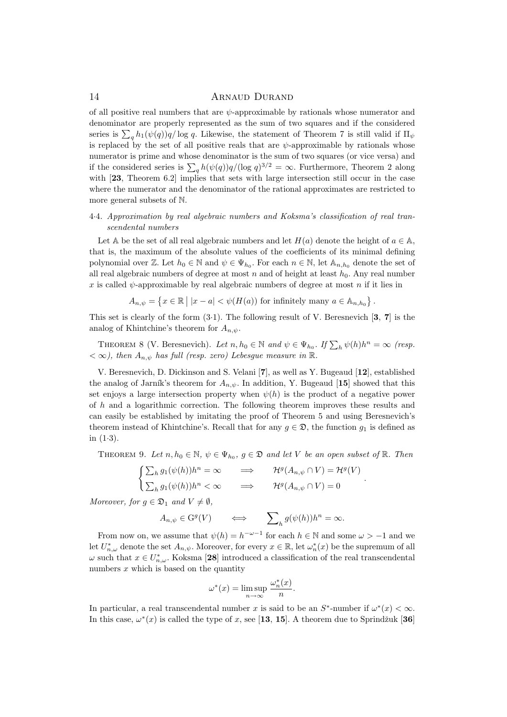of all positive real numbers that are  $\psi$ -approximable by rationals whose numerator and denominator are properly represented as the sum of two squares and if the considered series is  $\sum_q h_1(\psi(q))q/\log q$ . Likewise, the statement of Theorem 7 is still valid if  $\Pi_\psi$ is replaced by the set of all positive reals that are  $\psi$ -approximable by rationals whose numerator is prime and whose denominator is the sum of two squares (or vice versa) and if the considered series is  $\sum_{q} h(\psi(q))q/(\log q)^{3/2} = \infty$ . Furthermore, Theorem 2 along with [23, Theorem 6.2] implies that sets with large intersection still occur in the case where the numerator and the denominator of the rational approximates are restricted to more general subsets of N.

# 4·4. Approximation by real algebraic numbers and Koksma's classification of real transcendental numbers

Let A be the set of all real algebraic numbers and let  $H(a)$  denote the height of  $a \in A$ , that is, the maximum of the absolute values of the coefficients of its minimal defining polynomial over Z. Let  $h_0 \in \mathbb{N}$  and  $\psi \in \Psi_{h_0}$ . For each  $n \in \mathbb{N}$ , let  $\mathbb{A}_{n,h_0}$  denote the set of all real algebraic numbers of degree at most  $n$  and of height at least  $h_0$ . Any real number x is called  $\psi$ -approximable by real algebraic numbers of degree at most n if it lies in

$$
A_{n,\psi} = \left\{ x \in \mathbb{R} \mid |x - a| < \psi(H(a)) \text{ for infinitely many } a \in A_{n,h_0} \right\}.
$$

This set is clearly of the form  $(3.1)$ . The following result of V. Beresnevich [3, 7] is the analog of Khintchine's theorem for  $A_{n,\psi}$ .

THEOREM 8 (V. Beresnevich). Let  $n, h_0 \in \mathbb{N}$  and  $\psi \in \Psi_{h_0}$ . If  $\sum_h \psi(h)h^n = \infty$  (resp.  $< \infty$ ), then  $A_{n,\psi}$  has full (resp. zero) Lebesgue measure in  $\mathbb{R}$ .

V. Beresnevich, D. Dickinson and S. Velani [7], as well as Y. Bugeaud [12], established the analog of Jarník's theorem for  $A_{n,\psi}$ . In addition, Y. Bugeaud [15] showed that this set enjoys a large intersection property when  $\psi(h)$  is the product of a negative power of h and a logarithmic correction. The following theorem improves these results and can easily be established by imitating the proof of Theorem 5 and using Beresnevich's theorem instead of Khintchine's. Recall that for any  $q \in \mathcal{D}$ , the function  $q_1$  is defined as in  $(1-3)$ .

THEOREM 9. Let  $n, h_0 \in \mathbb{N}$ ,  $\psi \in \Psi_{h_0}$ ,  $g \in \mathfrak{D}$  and let V be an open subset of  $\mathbb{R}$ . Then

.

$$
\begin{cases} \sum_{h} g_1(\psi(h))h^n = \infty & \implies & \mathcal{H}^g(A_{n,\psi} \cap V) = \mathcal{H}^g(V) \\ \sum_{h} g_1(\psi(h))h^n < \infty & \implies & \mathcal{H}^g(A_{n,\psi} \cap V) = 0 \end{cases}
$$

Moreover, for  $q \in \mathfrak{D}_1$  and  $V \neq \emptyset$ ,

$$
A_{n,\psi} \in \mathcal{G}^g(V) \qquad \Longleftrightarrow \qquad \sum\nolimits_h g(\psi(h))h^n = \infty.
$$

From now on, we assume that  $\psi(h) = h^{-\omega-1}$  for each  $h \in \mathbb{N}$  and some  $\omega > -1$  and we let  $U_{n,\omega}^*$  denote the set  $A_{n,\psi}$ . Moreover, for every  $x \in \mathbb{R}$ , let  $\omega_n^*(x)$  be the supremum of all  $\omega$  such that  $x \in U_{n,\omega}^*$ . Koksma [28] introduced a classification of the real transcendental numbers  $x$  which is based on the quantity

$$
\omega^*(x) = \limsup_{n \to \infty} \frac{\omega_n^*(x)}{n}.
$$

In particular, a real transcendental number x is said to be an  $S^*$ -number if  $\omega^*(x) < \infty$ . In this case,  $\omega^*(x)$  is called the type of x, see [13, 15]. A theorem due to Sprindžuk [36]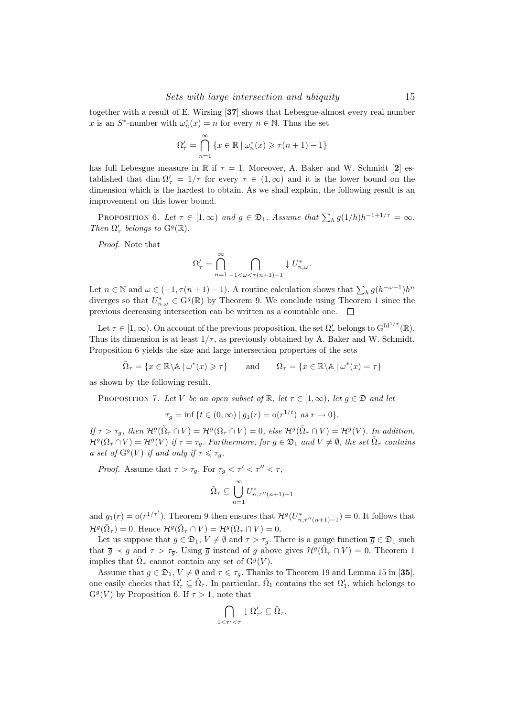together with a result of E. Wirsing [37] shows that Lebesgue-almost every real number x is an  $S^*$ -number with  $\omega_n^*(x) = n$  for every  $n \in \mathbb{N}$ . Thus the set

$$
\Omega'_{\tau} = \bigcap_{n=1}^{\infty} \{ x \in \mathbb{R} \mid \omega_n^*(x) \geqslant \tau(n+1) - 1 \}
$$

has full Lebesgue measure in R if  $\tau = 1$ . Moreover, A. Baker and W. Schmidt [2] established that dim  $\Omega'_{\tau} = 1/\tau$  for every  $\tau \in (1,\infty)$  and it is the lower bound on the dimension which is the hardest to obtain. As we shall explain, the following result is an improvement on this lower bound.

PROPOSITION 6. Let  $\tau \in [1,\infty)$  and  $g \in \mathfrak{D}_1$ . Assume that  $\sum_h g(1/h)h^{-1+1/\tau} = \infty$ . Then  $\Omega_\tau'$  belongs to  $\mathbf{G}^g(\mathbb{R}).$ 

Proof. Note that

$$
\Omega'_{\tau} = \bigcap_{n=1}^{\infty} \bigcap_{-1 < \omega < \tau(n+1)-1} \downarrow U^*_{n,\omega}.
$$

Let  $n \in \mathbb{N}$  and  $\omega \in (-1, \tau(n+1)-1)$ . A routine calculation shows that  $\sum_h g(h^{-\omega-1})h^n$ diverges so that  $U_{n,\omega}^* \in \mathrm{G}^g(\mathbb{R})$  by Theorem 9. We conclude using Theorem 1 since the previous decreasing intersection can be written as a countable one.  $\Box$ 

Let  $\tau \in [1,\infty)$ . On account of the previous proposition, the set  $\Omega'_{\tau}$  belongs to  $G^{\mathrm{Id}^{1/\tau}}(\mathbb{R})$ . Thus its dimension is at least  $1/\tau$ , as previously obtained by A. Baker and W. Schmidt. Proposition 6 yields the size and large intersection properties of the sets

$$
\tilde{\Omega}_{\tau} = \{ x \in \mathbb{R} \setminus \mathbb{A} \mid \omega^*(x) \geqslant \tau \} \quad \text{and} \quad \Omega_{\tau} = \{ x \in \mathbb{R} \setminus \mathbb{A} \mid \omega^*(x) = \tau \}
$$

as shown by the following result.

PROPOSITION 7. Let V be an open subset of  $\mathbb{R}$ , let  $\tau \in [1,\infty)$ , let  $g \in \mathfrak{D}$  and let

$$
\tau_g = \inf \{ t \in (0, \infty) \mid g_1(r) = o(r^{1/t}) \text{ as } r \to 0 \}.
$$

If  $\tau > \tau_g$ , then  $\mathcal{H}^g(\tilde{\Omega}_\tau \cap V) = \mathcal{H}^g(\Omega_\tau \cap V) = 0$ , else  $\mathcal{H}^g(\tilde{\Omega}_\tau \cap V) = \mathcal{H}^g(V)$ . In addition,  $\mathcal{H}^g(\Omega_\tau \cap V) = \mathcal{H}^g(V)$  if  $\tau = \tau_g$ . Furthermore, for  $g \in \mathfrak{D}_1$  and  $V \neq \emptyset$ , the set  $\tilde{\Omega}_\tau$  contains a set of  $G^g(V)$  if and only if  $\tau \leq \tau_g$ .

*Proof.* Assume that  $\tau > \tau_g$ . For  $\tau_g < \tau' < \tau'' < \tau$ ,

$$
\tilde{\Omega}_{\tau} \subseteq \bigcup_{n=1}^{\infty} U_{n,\tau''(n+1)-1}^*
$$

and  $g_1(r) = o(r^{1/\tau'})$ . Theorem 9 then ensures that  $\mathcal{H}^g(U^*_{n,\tau''(n+1)-1}) = 0$ . It follows that  $\mathcal{H}^g(\tilde{\Omega}_\tau) = 0.$  Hence  $\mathcal{H}^g(\tilde{\Omega}_\tau \cap V) = \mathcal{H}^g(\Omega_\tau \cap V) = 0.$ 

Let us suppose that  $g \in \mathfrak{D}_1$ ,  $V \neq \emptyset$  and  $\tau > \tau_g$ . There is a gauge function  $\overline{g} \in \mathfrak{D}_1$  such that  $\overline{g} \prec g$  and  $\tau > \tau_{\overline{g}}$ . Using  $\overline{g}$  instead of g above gives  $\mathcal{H}^{\overline{g}}(\tilde{\Omega}_{\tau} \cap V) = 0$ . Theorem 1 implies that  $\tilde{\Omega}_{\tau}$  cannot contain any set of  $\mathcal{G}^g(V)$ .

Assume that  $g \in \mathfrak{D}_1$ ,  $V \neq \emptyset$  and  $\tau \leq \tau_g$ . Thanks to Theorem 19 and Lemma 15 in [35], one easily checks that  $\Omega'_{\tau} \subseteq \tilde{\Omega}_{\tau}$ . In particular,  $\tilde{\Omega}_1$  contains the set  $\Omega'_1$ , which belongs to  $G<sup>g</sup>(V)$  by Proposition 6. If  $\tau > 1$ , note that

$$
\bigcap_{1 < \tau' < \tau} \downarrow \Omega'_{\tau'} \subseteq \tilde{\Omega}_{\tau}.
$$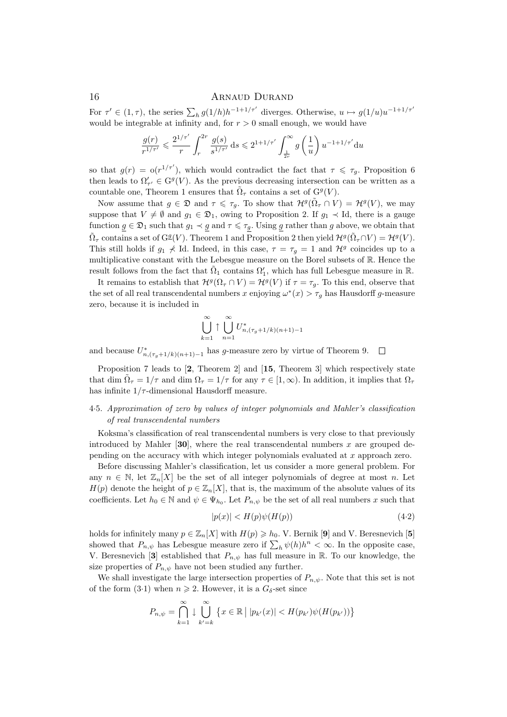For  $\tau' \in (1, \tau)$ , the series  $\sum_h g(1/h)h^{-1+1/\tau'}$  diverges. Otherwise,  $u \mapsto g(1/u)u^{-1+1/\tau'}$ would be integrable at infinity and, for  $r > 0$  small enough, we would have

$$
\frac{g(r)}{r^{1/\tau'}} \leqslant \frac{2^{1/\tau'}}{r} \int_r^{2r} \frac{g(s)}{s^{1/\tau'}} \, \text{d}s \leqslant 2^{1+1/\tau'} \int_{\frac{1}{2r}}^{\infty} g\left(\frac{1}{u}\right) u^{-1+1/\tau'} \text{d}u
$$

so that  $g(r) = o(r^{1/\tau'})$ , which would contradict the fact that  $\tau \leq \tau_g$ . Proposition 6 then leads to  $\Omega'_{\tau'} \in G^g(V)$ . As the previous decreasing intersection can be written as a countable one, Theorem 1 ensures that  $\tilde{\Omega}_{\tau}$  contains a set of  $G^{g}(V)$ .

Now assume that  $g \in \mathfrak{D}$  and  $\tau \leq \tau_g$ . To show that  $\mathcal{H}^g(\tilde{\Omega}_\tau \cap V) = \mathcal{H}^g(V)$ , we may suppose that  $V \neq \emptyset$  and  $g_1 \in \mathfrak{D}_1$ , owing to Proposition 2. If  $g_1 \prec \mathrm{Id}$ , there is a gauge function  $g \in \mathfrak{D}_1$  such that  $g_1 \prec g$  and  $\tau \leq \tau_g$ . Using g rather than g above, we obtain that  $\tilde{\Omega}_{\tau}$  contains a set of  $G^{\underline{g}}(V)$ . Theorem 1 and Proposition 2 then yield  $\mathcal{H}^g(\tilde{\Omega}_{\tau} \cap V) = \mathcal{H}^g(V)$ . This still holds if  $g_1 \nless 1$ d. Indeed, in this case,  $\tau = \tau_g = 1$  and  $\mathcal{H}^g$  coincides up to a multiplicative constant with the Lebesgue measure on the Borel subsets of R. Hence the result follows from the fact that  $\tilde{\Omega}_1$  contains  $\Omega'_1$ , which has full Lebesgue measure in R.

It remains to establish that  $\mathcal{H}^g(\Omega_\tau \cap V) = \mathcal{H}^g(V)$  if  $\tau = \tau_g$ . To this end, observe that the set of all real transcendental numbers x enjoying  $\omega^*(x) > \tau_g$  has Hausdorff g-measure zero, because it is included in

$$
\bigcup_{k=1}^{\infty} \uparrow \bigcup_{n=1}^{\infty} U_{n,(\tau_g+1/k)(n+1)-1}^*
$$

and because  $U_{n,(\tau_g+1/k)(n+1)-1}^*$  has g-measure zero by virtue of Theorem 9.  $\Box$ 

Proposition 7 leads to [2, Theorem 2] and [15, Theorem 3] which respectively state that dim  $\tilde{\Omega}_{\tau} = 1/\tau$  and dim  $\Omega_{\tau} = 1/\tau$  for any  $\tau \in [1, \infty)$ . In addition, it implies that  $\Omega_{\tau}$ has infinite  $1/\tau$ -dimensional Hausdorff measure.

# 4·5. Approximation of zero by values of integer polynomials and Mahler's classification of real transcendental numbers

Koksma's classification of real transcendental numbers is very close to that previously introduced by Mahler [30], where the real transcendental numbers  $x$  are grouped depending on the accuracy with which integer polynomials evaluated at x approach zero.

Before discussing Mahler's classification, let us consider a more general problem. For any  $n \in \mathbb{N}$ , let  $\mathbb{Z}_n[X]$  be the set of all integer polynomials of degree at most n. Let  $H(p)$  denote the height of  $p \in \mathbb{Z}_n[X]$ , that is, the maximum of the absolute values of its coefficients. Let  $h_0 \in \mathbb{N}$  and  $\psi \in \Psi_{h_0}$ . Let  $P_{n,\psi}$  be the set of all real numbers x such that

$$
|p(x)| < H(p)\psi(H(p))\tag{4.2}
$$

holds for infinitely many  $p \in \mathbb{Z}_n[X]$  with  $H(p) \geq h_0$ . V. Bernik [9] and V. Beresnevich [5] showed that  $P_{n,\psi}$  has Lebesgue measure zero if  $\sum_h \psi(h)h^n < \infty$ . In the opposite case, V. Beresnevich [3] established that  $P_{n,\psi}$  has full measure in R. To our knowledge, the size properties of  $P_{n,\psi}$  have not been studied any further.

We shall investigate the large intersection properties of  $P_{n,\psi}$ . Note that this set is not of the form (3.1) when  $n \ge 2$ . However, it is a  $G_{\delta}$ -set since

$$
P_{n,\psi} = \bigcap_{k=1}^{\infty} \downarrow \bigcup_{k'=k}^{\infty} \left\{ x \in \mathbb{R} \mid |p_{k'}(x)| < H(p_{k'})\psi(H(p_{k'})) \right\}
$$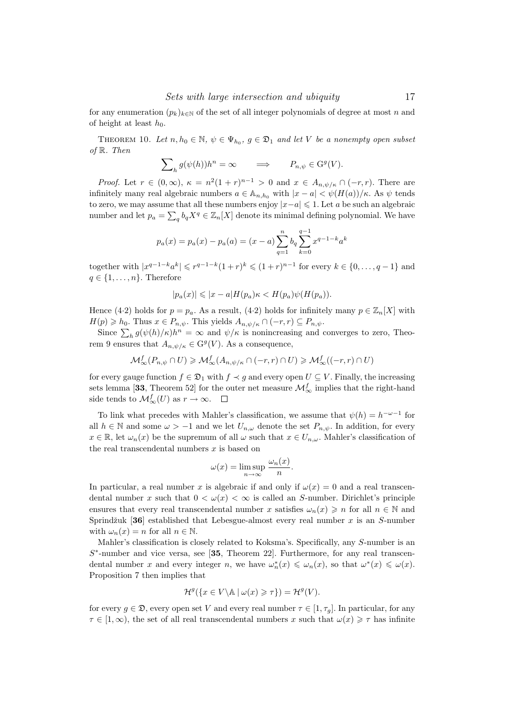for any enumeration  $(p_k)_{k \in \mathbb{N}}$  of the set of all integer polynomials of degree at most n and of height at least  $h_0$ .

THEOREM 10. Let  $n, h_0 \in \mathbb{N}$ ,  $\psi \in \Psi_{h_0}$ ,  $g \in \mathfrak{D}_1$  and let V be a nonempty open subset of R. Then

$$
\sum_{h} g(\psi(h))h^n = \infty \qquad \Longrightarrow \qquad P_{n,\psi} \in \mathcal{G}^g(V).
$$

*Proof.* Let  $r \in (0,\infty)$ ,  $\kappa = n^2(1+r)^{n-1} > 0$  and  $x \in A_{n,\psi/\kappa} \cap (-r,r)$ . There are infinitely many real algebraic numbers  $a \in A_{n,h_0}$  with  $|x - a| < \psi(H(a))/\kappa$ . As  $\psi$  tends to zero, we may assume that all these numbers enjoy  $|x-a| \leq 1$ . Let a be such an algebraic number and let  $p_a = \sum_q b_q X^q \in \mathbb{Z}_n[X]$  denote its minimal defining polynomial. We have

$$
p_a(x) = p_a(x) - p_a(a) = (x - a) \sum_{q=1}^{n} b_q \sum_{k=0}^{q-1} x^{q-1-k} a^k
$$

together with  $|x^{q-1-k}a^k| \leq r^{q-1-k}(1+r)^k \leq (1+r)^{n-1}$  for every  $k \in \{0, ..., q-1\}$  and  $q \in \{1, \ldots, n\}$ . Therefore

$$
|p_a(x)| \leqslant |x-a|H(p_a)\kappa < H(p_a)\psi(H(p_a)).
$$

Hence (4·2) holds for  $p = p_a$ . As a result, (4·2) holds for infinitely many  $p \in \mathbb{Z}_n[X]$  with  $H(p) \geqslant h_0$ . Thus  $x \in P_{n,\psi}$ . This yields  $A_{n,\psi/\kappa} \cap (-r,r) \subseteq P_{n,\psi}$ .

Since  $\sum_h g(\psi(h)/\kappa)h^n = \infty$  and  $\psi/\kappa$  is nonincreasing and converges to zero, Theorem 9 ensures that  $A_{n,\psi/\kappa} \in \mathrm{G}^g(V)$ . As a consequence,

$$
\mathcal{M}^f_\infty(P_{n,\psi}\cap U)\geqslant \mathcal{M}^f_\infty(A_{n,\psi/\kappa}\cap (-r,r)\cap U)\geqslant \mathcal{M}^f_\infty((-r,r)\cap U)
$$

for every gauge function  $f \in \mathfrak{D}_1$  with  $f \prec g$  and every open  $U \subseteq V$ . Finally, the increasing sets lemma [33, Theorem 52] for the outer net measure  $\mathcal{M}_{\infty}^{f}$  implies that the right-hand side tends to  $\mathcal{M}^f_{\infty}(U)$  as  $r \to \infty$ .

To link what precedes with Mahler's classification, we assume that  $\psi(h) = h^{-\omega-1}$  for all  $h \in \mathbb{N}$  and some  $\omega > -1$  and we let  $U_{n,\omega}$  denote the set  $P_{n,\psi}$ . In addition, for every  $x \in \mathbb{R}$ , let  $\omega_n(x)$  be the supremum of all  $\omega$  such that  $x \in U_{n,\omega}$ . Mahler's classification of the real transcendental numbers  $x$  is based on

$$
\omega(x) = \limsup_{n \to \infty} \frac{\omega_n(x)}{n}.
$$

In particular, a real number x is algebraic if and only if  $\omega(x) = 0$  and a real transcendental number x such that  $0 < \omega(x) < \infty$  is called an S-number. Dirichlet's principle ensures that every real transcendental number x satisfies  $\omega_n(x) \geq n$  for all  $n \in \mathbb{N}$  and Sprindžuk [36] established that Lebesgue-almost every real number  $x$  is an S-number with  $\omega_n(x) = n$  for all  $n \in \mathbb{N}$ .

Mahler's classification is closely related to Koksma's. Specifically, any S-number is an  $S^*$ -number and vice versa, see [35, Theorem 22]. Furthermore, for any real transcendental number x and every integer n, we have  $\omega_n^*(x) \leq \omega_n(x)$ , so that  $\omega^*(x) \leq \omega(x)$ . Proposition 7 then implies that

$$
\mathcal{H}^g(\{x \in V \backslash \mathbb{A} \mid \omega(x) \geqslant \tau\}) = \mathcal{H}^g(V).
$$

for every  $g \in \mathfrak{D}$ , every open set V and every real number  $\tau \in [1, \tau_q]$ . In particular, for any  $\tau \in [1,\infty)$ , the set of all real transcendental numbers x such that  $\omega(x) \geq \tau$  has infinite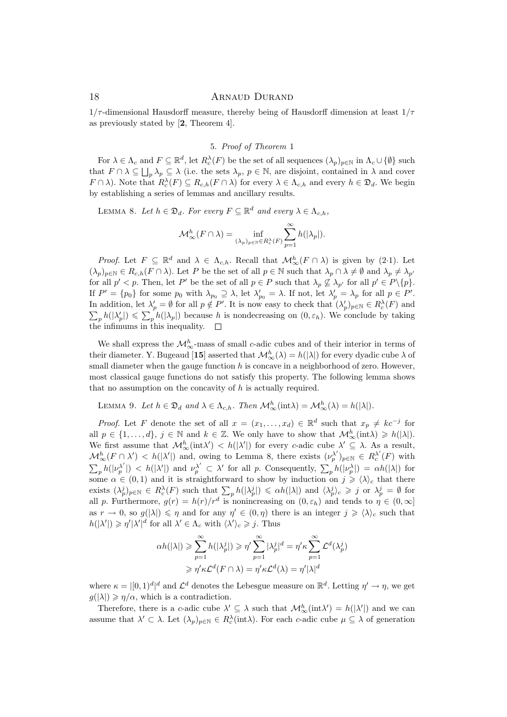$1/\tau$ -dimensional Hausdorff measure, thereby being of Hausdorff dimension at least  $1/\tau$ as previously stated by [2, Theorem 4].

## 5. Proof of Theorem 1

For  $\lambda \in \Lambda_c$  and  $F \subseteq \mathbb{R}^d$ , let  $R_c^{\lambda}(F)$  be the set of all sequences  $(\lambda_p)_{p \in \mathbb{N}}$  in  $\Lambda_c \cup \{\emptyset\}$  such that  $F \cap \lambda \subseteq \bigsqcup_p \lambda_p \subseteq \lambda$  (i.e. the sets  $\lambda_p$ ,  $p \in \mathbb{N}$ , are disjoint, contained in  $\lambda$  and cover  $F \cap \lambda$ ). Note that  $R_c^{\lambda}(F) \subseteq R_{c,h}(F \cap \lambda)$  for every  $\lambda \in \Lambda_{c,h}$  and every  $h \in \mathfrak{D}_d$ . We begin by establishing a series of lemmas and ancillary results.

LEMMA 8. Let  $h \in \mathfrak{D}_d$ . For every  $F \subseteq \mathbb{R}^d$  and every  $\lambda \in \Lambda_{c,h}$ ,

$$
\mathcal{M}^h_\infty(F\cap \lambda)=\inf_{(\lambda_p)_p\in \mathbb{N} \in R_c^\lambda(F)} \sum_{p=1}^\infty h(|\lambda_p|).
$$

*Proof.* Let  $F \subseteq \mathbb{R}^d$  and  $\lambda \in \Lambda_{c,h}$ . Recall that  $\mathcal{M}_{\infty}^h(F \cap \lambda)$  is given by (2.1). Let  $(\lambda_p)_{p\in\mathbb{N}}\in R_{c,h}(F\cap\lambda)$ . Let P be the set of all  $p\in\mathbb{N}$  such that  $\lambda_p\cap\lambda\neq\emptyset$  and  $\lambda_p\neq\lambda_{p'}$ for all  $p' < p$ . Then, let P' be the set of all  $p \in P$  such that  $\lambda_p \nsubseteq \lambda_{p'}$  for all  $p' \in P \setminus \{p\}$ . If  $P' = \{p_0\}$  for some  $p_0$  with  $\lambda_{p_0} \supseteq \lambda$ , let  $\lambda'_{p_0} = \lambda$ . If not, let  $\lambda'_{p} = \lambda_{p}$  for all  $p \in P'$ . In addition, let  $\lambda'_p = \emptyset$  for all  $p \notin P'$ . It is now easy to check that  $(\lambda'_p)_{p \in \mathbb{N}} \in R_c^{\lambda}(F)$  and  $\sum_p h(|\lambda'_p|) \leq \sum_p h(|\lambda_p|)$  because h is nondecreasing on  $(0, \varepsilon_h)$ . We conclude by taking the infimums in this inequality.  $\Box$ 

We shall express the  $\mathcal{M}_{\infty}^{h}$ -mass of small c-adic cubes and of their interior in terms of their diameter. Y. Bugeaud [15] asserted that  $\mathcal{M}_{\infty}^{h}(\lambda) = h(|\lambda|)$  for every dyadic cube  $\lambda$  of small diameter when the gauge function  $h$  is concave in a neighborhood of zero. However, most classical gauge functions do not satisfy this property. The following lemma shows that no assumption on the concavity of h is actually required.

LEMMA 9. Let  $h \in \mathfrak{D}_d$  and  $\lambda \in \Lambda_{c,h}$ . Then  $\mathcal{M}_{\infty}^h(\text{int}\lambda) = \mathcal{M}_{\infty}^h(\lambda) = h(|\lambda|)$ .

*Proof.* Let F denote the set of all  $x = (x_1, \ldots, x_d) \in \mathbb{R}^d$  such that  $x_p \neq kc^{-j}$  for all  $p \in \{1, ..., d\}, j \in \mathbb{N}$  and  $k \in \mathbb{Z}$ . We only have to show that  $\mathcal{M}_{\infty}^{h}(\text{int}\lambda) \geq h(|\lambda|)$ . We first assume that  $\mathcal{M}_{\infty}^h(\text{int}\lambda') < h(|\lambda'|)$  for every c-adic cube  $\lambda' \subseteq \lambda$ . As a result,  $\mathcal{M}_{\infty}^{h}(F \cap \lambda') < h(|\lambda'|)$  and, owing to Lemma 8, there exists  $(\nu_p^{\lambda'})_{p \in \mathbb{N}} \in R_c^{\lambda'}(F)$  with  $\sum_p h(|\nu_p^{\lambda'}|) \leq h(|\lambda'|)$  and  $\nu_p^{\lambda'} \subset \lambda'$  for all p. Consequently,  $\sum_p h(|\nu_p^{\lambda}|) = \alpha h(|\lambda|)$  for some  $\alpha \in (0,1)$  and it is straightforward to show by induction on  $j \geq \langle \lambda \rangle_c$  that there exists  $(\lambda_p^j)_{p \in \mathbb{N}} \in R_c^{\lambda}(F)$  such that  $\sum_p h(|\lambda_p^j|) \leq \alpha h(|\lambda|)$  and  $\langle \lambda_p^j \rangle_c \geq j$  or  $\lambda_p^j = \emptyset$  for all p. Furthermore,  $g(r) = h(r)/r^d$  is nonincreasing on  $(0, \varepsilon_h)$  and tends to  $\eta \in (0, \infty]$ as  $r \to 0$ , so  $g(|\lambda|) \leq \eta$  and for any  $\eta' \in (0, \eta)$  there is an integer  $j \geq \langle \lambda \rangle_c$  such that  $h(|\lambda'|) \geqslant \eta' |\lambda'|^d$  for all  $\lambda' \in \Lambda_c$  with  $\langle \lambda' \rangle_c \geqslant j$ . Thus

$$
\begin{aligned} \alpha h(|\lambda|) &\geq \sum_{p=1}^{\infty} h(|\lambda_p^j|) \geqslant \eta' \sum_{p=1}^{\infty} |\lambda_p^j|^d = \eta' \kappa \sum_{p=1}^{\infty} \mathcal{L}^d(\lambda_p^j) \\ &\geqslant \eta' \kappa \mathcal{L}^d(F \cap \lambda) = \eta' \kappa \mathcal{L}^d(\lambda) = \eta' |\lambda|^d \end{aligned}
$$

where  $\kappa = |[0,1)^d|^d$  and  $\mathcal{L}^d$  denotes the Lebesgue measure on  $\mathbb{R}^d$ . Letting  $\eta' \to \eta$ , we get  $g(|\lambda|) \geq \eta/\alpha$ , which is a contradiction.

Therefore, there is a c-adic cube  $\lambda' \subseteq \lambda$  such that  $\mathcal{M}_{\infty}^h(\text{int}\lambda') = h(|\lambda'|)$  and we can assume that  $\lambda' \subset \lambda$ . Let  $(\lambda_p)_{p \in \mathbb{N}} \in R_c^{\lambda}(\text{int}\lambda)$ . For each c-adic cube  $\mu \subseteq \lambda$  of generation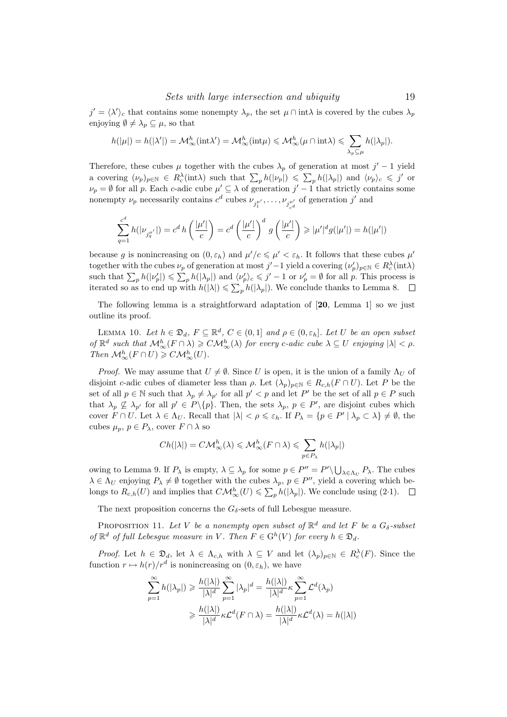$j' = \langle \lambda' \rangle_c$  that contains some nonempty  $\lambda_p$ , the set  $\mu \cap \text{int}\lambda$  is covered by the cubes  $\lambda_p$ enjoying  $\emptyset \neq \lambda_p \subseteq \mu$ , so that

$$
h(|\mu|) = h(|\lambda'|) = \mathcal{M}^h_{\infty}(\text{int}\lambda') = \mathcal{M}^h_{\infty}(\text{int}\mu) \leq \mathcal{M}^h_{\infty}(\mu \cap \text{int}\lambda) \leq \sum_{\lambda_p \subseteq \mu} h(|\lambda_p|).
$$

Therefore, these cubes  $\mu$  together with the cubes  $\lambda_p$  of generation at most  $j'-1$  yield a covering  $(\nu_p)_{p \in \mathbb{N}} \in R_c^{\lambda}(\text{int}\lambda)$  such that  $\sum_p h(|\nu_p|) \leq \sum_p h(|\lambda_p|)$  and  $\langle \nu_p \rangle_c \leq \gamma'$  or  $\nu_p = \emptyset$  for all p. Each c-adic cube  $\mu' \subseteq \lambda$  of generation  $j' - 1$  that strictly contains some nonempty  $\nu_p$  necessarily contains  $c^d$  cubes  $\nu_{j_1^{\mu'}}$ , ...,  $\nu_{j_{c}^{\mu'}}$  of generation  $j'$  and

$$
\sum_{q=1}^{c^d} h(|\nu_{j_q^{\mu'}}|) = c^d h\left(\frac{|\mu'|}{c}\right) = c^d \left(\frac{|\mu'|}{c}\right)^d g\left(\frac{|\mu'|}{c}\right) \geqslant |\mu'|^d g(|\mu'|) = h(|\mu'|)
$$

because g is nonincreasing on  $(0, \varepsilon_h)$  and  $\mu'/c \leq \mu' < \varepsilon_h$ . It follows that these cubes  $\mu'$ together with the cubes  $\nu_p$  of generation at most  $j'-1$  yield a covering  $(\nu_p')_{p \in \mathbb{N}} \in R_c^{\lambda}(\text{int}\lambda)$ such that  $\sum_p h(|\nu_p'|) \leqslant \sum_p h(|\lambda_p|)$  and  $\langle \nu_p' \rangle_c \leqslant j'-1$  or  $\nu_p' = \emptyset$  for all p. This process is iterated so as to end up with  $h(|\lambda|) \leq \sum_{p} h(|\lambda_p|)$ . We conclude thanks to Lemma 8.

The following lemma is a straightforward adaptation of [20, Lemma 1] so we just outline its proof.

LEMMA 10. Let  $h \in \mathfrak{D}_d$ ,  $F \subseteq \mathbb{R}^d$ ,  $C \in (0,1]$  and  $\rho \in (0,\varepsilon_h]$ . Let U be an open subset of  $\mathbb{R}^d$  such that  $\mathcal{M}_\infty^h(F \cap \lambda) \geqslant C\mathcal{M}_\infty^h(\lambda)$  for every c-adic cube  $\lambda \subseteq U$  enjoying  $|\lambda| < \rho$ . Then  $\mathcal{M}_{\infty}^h(F \cap U) \geqslant C\mathcal{M}_{\infty}^h(U)$ .

*Proof.* We may assume that  $U \neq \emptyset$ . Since U is open, it is the union of a family  $\Lambda_U$  of disjoint c-adic cubes of diameter less than  $\rho$ . Let  $(\lambda_p)_{p \in \mathbb{N}} \in R_{c,h}(F \cap U)$ . Let P be the set of all  $p \in \mathbb{N}$  such that  $\lambda_p \neq \lambda_{p'}$  for all  $p' < p$  and let P' be the set of all  $p \in P$  such that  $\lambda_p \nsubseteq \lambda_{p'}$  for all  $p' \in P \setminus \{p\}$ . Then, the sets  $\lambda_p$ ,  $p \in P'$ , are disjoint cubes which cover  $F \cap U$ . Let  $\lambda \in \Lambda_U$ . Recall that  $|\lambda| < \rho \leq \varepsilon_h$ . If  $P_\lambda = \{p \in P' \mid \lambda_p \subset \lambda\} \neq \emptyset$ , the cubes  $\mu_p, p \in P_\lambda$ , cover  $F \cap \lambda$  so

$$
Ch(|\lambda|) = C\mathcal{M}_{\infty}^h(\lambda) \leqslant \mathcal{M}_{\infty}^h(F \cap \lambda) \leqslant \sum_{p \in P_{\lambda}} h(|\lambda_p|)
$$

owing to Lemma 9. If  $P_{\lambda}$  is empty,  $\lambda \subseteq \lambda_p$  for some  $p \in P'' = P' \setminus \bigcup_{\lambda \in \Lambda_U} P_{\lambda}$ . The cubes  $\lambda \in \Lambda_U$  enjoying  $P_\lambda \neq \emptyset$  together with the cubes  $\lambda_p$ ,  $p \in P''$ , yield a covering which belongs to  $R_{c,h}(U)$  and implies that  $C\mathcal{M}_{\infty}^h(U) \leq \sum_{p} h(|\lambda_p|)$ . We conclude using (2.1).

The next proposition concerns the  $G_{\delta}$ -sets of full Lebesgue measure.

PROPOSITION 11. Let V be a nonempty open subset of  $\mathbb{R}^d$  and let F be a  $G_\delta$ -subset of  $\mathbb{R}^d$  of full Lebesgue measure in V. Then  $F \in G^h(V)$  for every  $h \in \mathfrak{D}_d$ .

*Proof.* Let  $h \in \mathfrak{D}_d$ , let  $\lambda \in \Lambda_{c,h}$  with  $\lambda \subseteq V$  and let  $(\lambda_p)_{p \in \mathbb{N}} \in R_c^{\lambda}(F)$ . Since the function  $r \mapsto h(r)/r^d$  is nonincreasing on  $(0, \varepsilon_h)$ , we have

$$
\sum_{p=1}^{\infty} h(|\lambda_p|) \geq \frac{h(|\lambda|)}{|\lambda|^d} \sum_{p=1}^{\infty} |\lambda_p|^d = \frac{h(|\lambda|)}{|\lambda|^d} \kappa \sum_{p=1}^{\infty} \mathcal{L}^d(\lambda_p)
$$

$$
\geq \frac{h(|\lambda|)}{|\lambda|^d} \kappa \mathcal{L}^d(F \cap \lambda) = \frac{h(|\lambda|)}{|\lambda|^d} \kappa \mathcal{L}^d(\lambda) = h(|\lambda|)
$$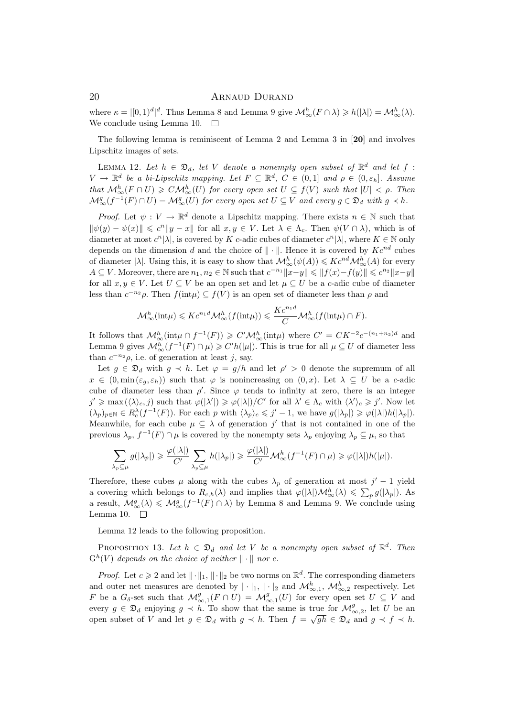where  $\kappa = |[0,1)^d|^d$ . Thus Lemma 8 and Lemma 9 give  $\mathcal{M}_\infty^h(F \cap \lambda) \geq h(|\lambda|) = \mathcal{M}_\infty^h(\lambda)$ . We conclude using Lemma 10.  $\Box$ 

The following lemma is reminiscent of Lemma 2 and Lemma 3 in [20] and involves Lipschitz images of sets.

LEMMA 12. Let  $h \in \mathfrak{D}_d$ , let V denote a nonempty open subset of  $\mathbb{R}^d$  and let f:  $V \to \mathbb{R}^d$  be a bi-Lipschitz mapping. Let  $F \subseteq \mathbb{R}^d$ ,  $C \in (0,1]$  and  $\rho \in (0,\varepsilon_h]$ . Assume that  $\mathcal{M}_{\infty}^h(F \cap U) \geqslant C\mathcal{M}_{\infty}^h(U)$  for every open set  $U \subseteq f(V)$  such that  $|U| < \rho$ . Then  $\mathcal{M}^g_\infty(f^{-1}(F) \cap U) = \mathcal{M}^g_\infty(U)$  for every open set  $U \subseteq V$  and every  $g \in \mathfrak{D}_d$  with  $g \prec h$ .

*Proof.* Let  $\psi: V \to \mathbb{R}^d$  denote a Lipschitz mapping. There exists  $n \in \mathbb{N}$  such that  $\|\psi(y) - \psi(x)\| \leq c^n \|y - x\|$  for all  $x, y \in V$ . Let  $\lambda \in \Lambda_c$ . Then  $\psi(V \cap \lambda)$ , which is of diameter at most  $c^n|\lambda|$ , is covered by K c-adic cubes of diameter  $c^n|\lambda|$ , where  $K \in \mathbb{N}$  only depends on the dimension d and the choice of  $\|\cdot\|$ . Hence it is covered by  $Kc^{nd}$  cubes of diameter  $|\lambda|$ . Using this, it is easy to show that  $\mathcal{M}^h_{\infty}(\psi(A)) \leqslant Kc^{nd}\mathcal{M}^h_{\infty}(A)$  for every  $A \subseteq V$ . Moreover, there are  $n_1, n_2 \in \mathbb{N}$  such that  $c^{-n_1} ||x-y|| \leq ||f(x)-f(y)|| \leq c^{n_2} ||x-y||$ for all  $x, y \in V$ . Let  $U \subseteq V$  be an open set and let  $\mu \subseteq U$  be a c-adic cube of diameter less than  $c^{-n_2}\rho$ . Then  $f(\text{int}\mu) \subseteq f(V)$  is an open set of diameter less than  $\rho$  and

$$
\mathcal{M}_{\infty}^{h}(\text{int}\mu) \leqslant K c^{n_1 d} \mathcal{M}_{\infty}^{h}(f(\text{int}\mu)) \leqslant \frac{K c^{n_1 d}}{C} \mathcal{M}_{\infty}^{h}(f(\text{int}\mu) \cap F).
$$

It follows that  $\mathcal{M}_{\infty}^h(\text{int}\mu \cap f^{-1}(F)) \geqslant C' \mathcal{M}_{\infty}^h(\text{int}\mu)$  where  $C' = CK^{-2}c^{-(n_1+n_2)d}$  and Lemma 9 gives  $\mathcal{M}_{\infty}^h(f^{-1}(F) \cap \mu) \geqslant C'h(|\mu|)$ . This is true for all  $\mu \subseteq U$  of diameter less than  $c^{-n_2}\rho$ , i.e. of generation at least j, say.

Let  $g \in \mathfrak{D}_d$  with  $g \prec h$ . Let  $\varphi = g/h$  and let  $\rho' > 0$  denote the supremum of all  $x \in (0, \min(\varepsilon_q, \varepsilon_h))$  such that  $\varphi$  is nonincreasing on  $(0, x)$ . Let  $\lambda \subseteq U$  be a c-adic cube of diameter less than  $\rho'$ . Since  $\varphi$  tends to infinity at zero, there is an integer  $j' \ge \max(\langle \lambda \rangle_c, j)$  such that  $\varphi(|\lambda'|) \ge \varphi(|\lambda|)/C'$  for all  $\lambda' \in \Lambda_c$  with  $\langle \lambda' \rangle_c \ge j'$ . Now let  $(\lambda_p)_{p \in \mathbb{N}} \in R_c^{\lambda}(f^{-1}(F))$ . For each p with  $\langle \lambda_p \rangle_c \leqslant j'-1$ , we have  $g(|\lambda_p|) \geqslant \varphi(|\lambda|)h(|\lambda_p|)$ . Meanwhile, for each cube  $\mu \subseteq \lambda$  of generation j' that is not contained in one of the previous  $\lambda_p$ ,  $f^{-1}(F) \cap \mu$  is covered by the nonempty sets  $\lambda_p$  enjoying  $\lambda_p \subseteq \mu$ , so that

$$
\sum_{\lambda_p\subseteq\mu}g(|\lambda_p|)\geqslant \frac{\varphi(|\lambda|)}{C'}\sum_{\lambda_p\subseteq\mu}h(|\lambda_p|)\geqslant \frac{\varphi(|\lambda|)}{C'}\mathcal{M}_{\infty}^h(f^{-1}(F)\cap\mu)\geqslant \varphi(|\lambda|)h(|\mu|).
$$

Therefore, these cubes  $\mu$  along with the cubes  $\lambda_p$  of generation at most  $j'-1$  yield a covering which belongs to  $R_{c,h}(\lambda)$  and implies that  $\varphi(|\lambda|) \mathcal{M}_{\infty}^h(\lambda) \leq \sum_p g(|\lambda_p|)$ . As a result,  $M_{\infty}^g(\lambda) \leq M_{\infty}^g(f^{-1}(F) \cap \lambda)$  by Lemma 8 and Lemma 9. We conclude using Lemma 10.  $\Box$ 

Lemma 12 leads to the following proposition.

PROPOSITION 13. Let  $h \in \mathfrak{D}_d$  and let V be a nonempty open subset of  $\mathbb{R}^d$ . Then  $G^h(V)$  depends on the choice of neither  $\|\cdot\|$  nor c.

*Proof.* Let  $c \geq 2$  and let  $\|\cdot\|_1$ ,  $\|\cdot\|_2$  be two norms on  $\mathbb{R}^d$ . The corresponding diameters and outer net measures are denoted by  $|\cdot|_1, |\cdot|_2$  and  $\mathcal{M}_{\infty,1}^h$ ,  $\mathcal{M}_{\infty,2}^h$  respectively. Let F be a  $G_{\delta}$ -set such that  $\mathcal{M}^g_{\infty,1}(F \cap U) = \mathcal{M}^g_{\infty,1}(U)$  for every open set  $U \subseteq V$  and every  $g \in \mathfrak{D}_d$  enjoying  $g \prec h$ . To show that the same is true for  $\mathcal{M}_{\infty,2}^g$ , let U be an open subset of V and let  $g \in \mathfrak{D}_d$  with  $g \prec h$ . Then  $f = \sqrt{gh} \in \mathfrak{D}_d$  and  $g \prec f \prec h$ .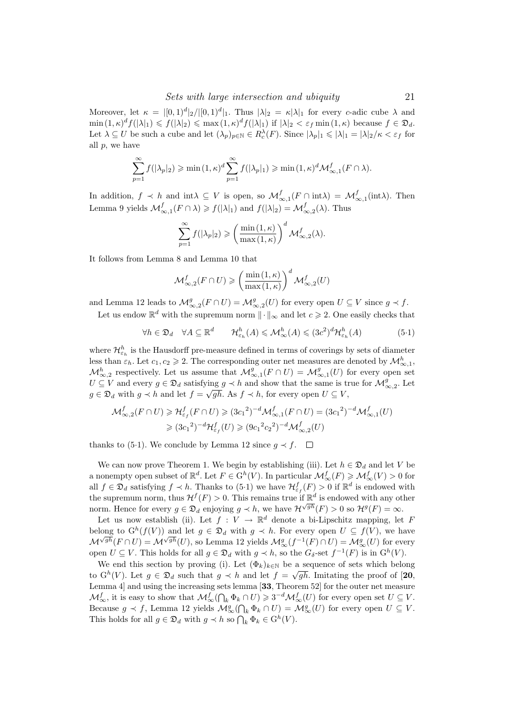Moreover, let  $\kappa = |[0,1)^d|_2/|[0,1)^d|_1$ . Thus  $|\lambda|_2 = \kappa |\lambda|_1$  for every c-adic cube  $\lambda$  and  $\min(1,\kappa)^d f(|\lambda|_1) \leqslant f(|\lambda|_2) \leqslant \max(1,\kappa)^d f(|\lambda|_1)$  if  $|\lambda|_2 < \varepsilon_f \min(1,\kappa)$  because  $f \in \mathfrak{D}_d$ . Let  $\lambda \subseteq U$  be such a cube and let  $(\lambda_p)_{p \in \mathbb{N}} \in R_c^{\lambda}(F)$ . Since  $|\lambda_p|_1 \leq |\lambda|_1 = |\lambda|_2/\kappa < \varepsilon_f$  for all p, we have

$$
\sum_{p=1}^{\infty} f(|\lambda_p|_2) \geqslant \min(1,\kappa)^d \sum_{p=1}^{\infty} f(|\lambda_p|_1) \geqslant \min(1,\kappa)^d \mathcal{M}_{\infty,1}^f(F \cap \lambda).
$$

In addition,  $f \prec h$  and int $\lambda \subseteq V$  is open, so  $\mathcal{M}^f_{\infty,1}(F \cap \text{int}\lambda) = \mathcal{M}^f_{\infty,1}(\text{int}\lambda)$ . Then Lemma 9 yields  $\mathcal{M}^f_{\infty,1}(F \cap \lambda) \geq f(|\lambda|_1)$  and  $f(|\lambda|_2) = \mathcal{M}^f_{\infty,2}(\lambda)$ . Thus

$$
\sum_{p=1}^{\infty} f(|\lambda_p|_2) \geqslant \left(\frac{\min(1,\kappa)}{\max(1,\kappa)}\right)^d \mathcal{M}_{\infty,2}^f(\lambda).
$$

It follows from Lemma 8 and Lemma 10 that

$$
\mathcal{M}^f_{\infty,2}(F \cap U) \geqslant \left(\frac{\min(1,\kappa)}{\max(1,\kappa)}\right)^d \mathcal{M}^f_{\infty,2}(U)
$$

and Lemma 12 leads to  $\mathcal{M}_{\infty,2}^g(F \cap U) = \mathcal{M}_{\infty,2}^g(U)$  for every open  $U \subseteq V$  since  $g \prec f$ .

Let us endow  $\mathbb{R}^d$  with the supremum norm  $\|\cdot\|_{\infty}$  and let  $c \geq 2$ . One easily checks that

$$
\forall h \in \mathfrak{D}_d \quad \forall A \subseteq \mathbb{R}^d \qquad \mathcal{H}_{\varepsilon_h}^h(A) \leqslant \mathcal{M}_{\infty}^h(A) \leqslant (3c^2)^d \mathcal{H}_{\varepsilon_h}^h(A) \tag{5.1}
$$

where  $\mathcal{H}_{\varepsilon_h}^h$  is the Hausdorff pre-measure defined in terms of coverings by sets of diameter less than  $\varepsilon_h$ . Let  $c_1, c_2 \geq 2$ . The corresponding outer net measures are denoted by  $\mathcal{M}_{\infty,1}^h$ ,  $\mathcal{M}^h_{\infty,2}$  respectively. Let us assume that  $\mathcal{M}^g_{\infty,1}(F \cap U) = \mathcal{M}^g_{\infty,1}(U)$  for every open set  $U \subseteq V$  and every  $g \in \mathfrak{D}_d$  satisfying  $g \prec h$  and show that the same is true for  $\mathcal{M}_{\infty,2}^g$ . Let  $g \in \mathfrak{D}_d$  with  $g \prec h$  and let  $f = \sqrt{gh}$ . As  $f \prec h$ , for every open  $U \subseteq V$ ,

$$
\mathcal{M}^f_{\infty,2}(F \cap U) \geq \mathcal{H}^f_{\varepsilon_f}(F \cap U) \geq (3c_1^2)^{-d} \mathcal{M}^f_{\infty,1}(F \cap U) = (3c_1^2)^{-d} \mathcal{M}^f_{\infty,1}(U)
$$
  

$$
\geq (3c_1^2)^{-d} \mathcal{H}^f_{\varepsilon_f}(U) \geq (9c_1^2 c_2^2)^{-d} \mathcal{M}^f_{\infty,2}(U)
$$

thanks to (5·1). We conclude by Lemma 12 since  $q \prec f$ .  $\Box$ 

We can now prove Theorem 1. We begin by establishing (iii). Let  $h \in \mathfrak{D}_d$  and let V be a nonempty open subset of  $\mathbb{R}^d$ . Let  $F \in G^h(V)$ . In particular  $\mathcal{M}^f_\infty(F) \geq \mathcal{M}^f_\infty(V) > 0$  for all  $f \in \mathfrak{D}_d$  satisfying  $f \prec h$ . Thanks to  $(5 \cdot 1)$  we have  $\mathcal{H}^f_{\varepsilon_f}(F) > 0$  if  $\mathbb{R}^d$  is endowed with the supremum norm, thus  $\mathcal{H}^f(F) > 0$ . This remains true if  $\mathbb{R}^d$  is endowed with any other norm. Hence for every  $g \in \mathfrak{D}_d$  enjoying  $g \prec h$ , we have  $\mathcal{H}^{\sqrt{gh}}(F) > 0$  so  $\mathcal{H}^g(F) = \infty$ .

Let us now establish (ii). Let  $f: V \to \mathbb{R}^d$  denote a bi-Lipschitz mapping, let F belong to  $G^h(f(V))$  and let  $g \in \mathfrak{D}_d$  with  $g \prec h$ . For every open  $U \subseteq f(V)$ , we have  $\mathcal{M}^{\sqrt{gh}}(F\cap U) = \mathcal{M}^{\sqrt{gh}}(U)$ , so Lemma 12 yields  $\mathcal{M}_{\infty}^g(f^{-1}(F)\cap U) = \mathcal{M}_{\infty}^g(U)$  for every open  $U \subseteq V$ . This holds for all  $g \in \mathfrak{D}_d$  with  $g \prec h$ , so the  $G_\delta$ -set  $f^{-1}(F)$  is in  $G^h(V)$ .

We end this section by proving (i). Let  $(\Phi_k)_{k \in \mathbb{N}}$  be a sequence of sets which belong to  $G^h(V)$ . Let  $g \in \mathfrak{D}_d$  such that  $g \prec h$  and let  $f = \sqrt{gh}$ . Imitating the proof of [20, Lemma 4] and using the increasing sets lemma [33, Theorem 52] for the outer net measure  $\mathcal{M}_{\infty}^f$ , it is easy to show that  $\mathcal{M}_{\infty}^f(\bigcap_k \Phi_k \cap U) \geqslant 3^{-d} \mathcal{M}_{\infty}^f(U)$  for every open set  $U \subseteq V$ . Because  $g \prec f$ , Lemma 12 yields  $\mathcal{M}_{\infty}^g(\bigcap_k \Phi_k \cap U) = \mathcal{M}_{\infty}^g(U)$  for every open  $U \subseteq V$ . This holds for all  $g \in \mathfrak{D}_d$  with  $g \prec h$  so  $\bigcap_k \Phi_k \in \mathcal{G}^h(V)$ .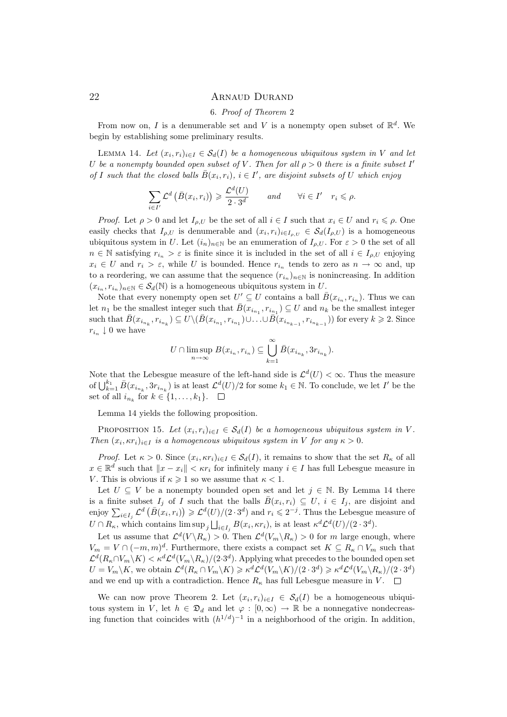## 6. Proof of Theorem 2

From now on, I is a denumerable set and V is a nonempty open subset of  $\mathbb{R}^d$ . We begin by establishing some preliminary results.

LEMMA 14. Let  $(x_i, r_i)_{i \in I} \in S_d(I)$  be a homogeneous ubiquitous system in V and let U be a nonempty bounded open subset of V. Then for all  $\rho > 0$  there is a finite subset I' of I such that the closed balls  $\bar{B}(x_i, r_i), i \in I'$ , are disjoint subsets of U which enjoy

$$
\sum_{i \in I'} \mathcal{L}^d \left( \bar{B}(x_i, r_i) \right) \geq \frac{\mathcal{L}^d(U)}{2 \cdot 3^d} \quad \text{and} \quad \forall i \in I' \quad r_i \leq \rho.
$$

*Proof.* Let  $\rho > 0$  and let  $I_{\rho,U}$  be the set of all  $i \in I$  such that  $x_i \in U$  and  $r_i \leq \rho$ . One easily checks that  $I_{\rho,U}$  is denumerable and  $(x_i,r_i)_{i\in I_{\rho,U}} \in \mathcal{S}_d(I_{\rho,U})$  is a homogeneous ubiquitous system in U. Let  $(i_n)_{n\in\mathbb{N}}$  be an enumeration of  $I_{\rho,U}$ . For  $\varepsilon > 0$  the set of all  $n \in \mathbb{N}$  satisfying  $r_{i_n} > \varepsilon$  is finite since it is included in the set of all  $i \in I_{\rho,U}$  enjoying  $x_i \in U$  and  $r_i > \varepsilon$ , while U is bounded. Hence  $r_{i_n}$  tends to zero as  $n \to \infty$  and, up to a reordering, we can assume that the sequence  $(r_{i_n})_{n\in\mathbb{N}}$  is nonincreasing. In addition  $(x_{i_n}, r_{i_n})_{n \in \mathbb{N}} \in \mathcal{S}_d(\mathbb{N})$  is a homogeneous ubiquitous system in U.

Note that every nonempty open set  $U' \subseteq U$  contains a ball  $\bar{B}(x_{i_n}, r_{i_n})$ . Thus we can let  $n_1$  be the smallest integer such that  $\bar{B}(x_{i_{n_1}}, r_{i_{n_1}}) \subseteq U$  and  $n_k$  be the smallest integer such that  $\bar{B}(x_{i_{n_k}}, r_{i_{n_k}}) \subseteq U \setminus (\bar{B}(x_{i_{n_1}}, r_{i_{n_1}}) \cup \ldots \cup \bar{B}(x_{i_{n_{k-1}}}, r_{i_{n_{k-1}}}))$  for every  $k \geqslant 2$ . Since  $r_{i_n} \downarrow 0$  we have

$$
U \cap \limsup_{n \to \infty} B(x_{i_n}, r_{i_n}) \subseteq \bigcup_{k=1}^{\infty} \bar{B}(x_{i_{n_k}}, \Im r_{i_{n_k}}).
$$

Note that the Lebesgue measure of the left-hand side is  $\mathcal{L}^d(U) < \infty$ . Thus the measure of  $\bigcup_{k=1}^{k_1} \bar{B}(x_{i_{n_k}}, 3r_{i_{n_k}})$  is at least  $\mathcal{L}^d(U)/2$  for some  $k_1 \in \mathbb{N}$ . To conclude, we let I' be the set of all  $i_{n_k}$  for  $k \in \{1, \ldots, k_1\}.$ 

Lemma 14 yields the following proposition.

PROPOSITION 15. Let  $(x_i, r_i)_{i \in I} \in S_d(I)$  be a homogeneous ubiquitous system in V. Then  $(x_i, \kappa r_i)_{i \in I}$  is a homogeneous ubiquitous system in V for any  $\kappa > 0$ .

*Proof.* Let  $\kappa > 0$ . Since  $(x_i, \kappa r_i)_{i \in I} \in S_d(I)$ , it remains to show that the set  $R_{\kappa}$  of all  $x \in \mathbb{R}^d$  such that  $||x - x_i|| < \kappa r_i$  for infinitely many  $i \in I$  has full Lebesgue measure in V. This is obvious if  $\kappa \geq 1$  so we assume that  $\kappa < 1$ .

Let  $U \subseteq V$  be a nonempty bounded open set and let  $j \in \mathbb{N}$ . By Lemma 14 there is a finite subset  $I_j$  of I such that the balls  $\bar{B}(x_i, r_i) \subseteq U, i \in I_j$ , are disjoint and enjoy  $\sum_{i\in I_j} \mathcal{L}^d(\overline{B}(x_i,r_i)) \geqslant \mathcal{L}^d(U)/(2\cdot 3^d)$  and  $r_i \leqslant 2^{-j}$ . Thus the Lebesgue measure of  $U \cap R_{\kappa}$ , which contains  $\limsup_j \bigcup_{i \in I_j} B(x_i, \kappa r_i)$ , is at least  $\kappa^d \mathcal{L}^d(U) / (2 \cdot 3^d)$ .

Let us assume that  $\mathcal{L}^d(V \backslash R_{\kappa}) > 0$ . Then  $\mathcal{L}^d(V_m \backslash R_{\kappa}) > 0$  for m large enough, where  $V_m = V \cap (-m, m)^d$ . Furthermore, there exists a compact set  $K \subseteq R_{\kappa} \cap V_m$  such that  $\mathcal{L}^d(R_\kappa \cap V_m \backslash K) < \kappa^d \mathcal{L}^d(V_m \backslash R_\kappa)/(2 \cdot 3^d)$ . Applying what precedes to the bounded open set  $U = V_m \backslash K$ , we obtain  $\mathcal{L}^d(R_\kappa \cap V_m \backslash K) \geq \kappa^d \mathcal{L}^d(V_m \backslash K)/(2 \cdot 3^d) \geq \kappa^d \mathcal{L}^d(V_m \backslash R_\kappa)/(2 \cdot 3^d)$ and we end up with a contradiction. Hence  $R_{\kappa}$  has full Lebesgue measure in V.  $\square$ 

We can now prove Theorem 2. Let  $(x_i, r_i)_{i \in I} \in S_d(I)$  be a homogeneous ubiquitous system in V, let  $h \in \mathfrak{D}_d$  and let  $\varphi : [0, \infty) \to \mathbb{R}$  be a nonnegative nondecreasing function that coincides with  $(h^{1/d})^{-1}$  in a neighborhood of the origin. In addition,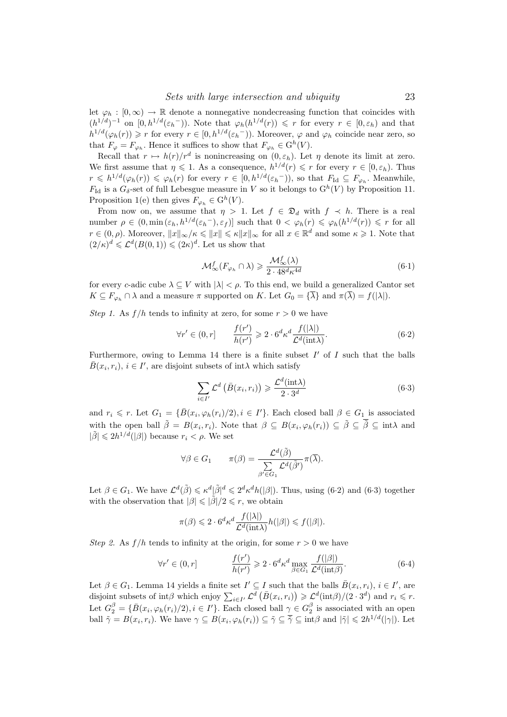let  $\varphi_h : [0, \infty) \to \mathbb{R}$  denote a nonnegative nondecreasing function that coincides with  $(h^{1/d})^{-1}$  on  $[0, h^{1/d}(\varepsilon_h^{-}))$ . Note that  $\varphi_h(h^{1/d}(r)) \leq r$  for every  $r \in [0, \varepsilon_h)$  and that  $h^{1/d}(\varphi_h(r)) \geq r$  for every  $r \in [0, h^{1/d}(\varepsilon_h^{-}))$ . Moreover,  $\varphi$  and  $\varphi_h$  coincide near zero, so that  $F_{\varphi} = F_{\varphi_h}$ . Hence it suffices to show that  $F_{\varphi_h} \in \mathcal{G}^h(V)$ .

Recall that  $r \mapsto h(r)/r^d$  is nonincreasing on  $(0, \varepsilon_h)$ . Let  $\eta$  denote its limit at zero. We first assume that  $\eta \leq 1$ . As a consequence,  $h^{1/d}(r) \leq r$  for every  $r \in [0, \varepsilon_h)$ . Thus  $r \leq h^{1/d}(\varphi_h(r)) \leq \varphi_h(r)$  for every  $r \in [0, h^{1/d}(\varepsilon_h^{-}))$ , so that  $F_{\text{Id}} \subseteq F_{\varphi_h}$ . Meanwhile,  $F_{\text{Id}}$  is a  $G_{\delta}$ -set of full Lebesgue measure in V so it belongs to  $G^{h}(V)$  by Proposition 11. Proposition 1(e) then gives  $F_{\varphi_h} \in G^h(V)$ .

From now on, we assume that  $\eta > 1$ . Let  $f \in \mathfrak{D}_d$  with  $f \prec h$ . There is a real number  $\rho \in (0, \min(\varepsilon_h, h^{1/d}(\varepsilon_h^-), \varepsilon_f)]$  such that  $0 < \varphi_h(r) \leq \varphi_h(h^{1/d}(r)) \leq r$  for all  $r \in (0, \rho)$ . Moreover,  $||x||_{\infty}/\kappa \leq ||x|| \leq \kappa ||x||_{\infty}$  for all  $x \in \mathbb{R}^d$  and some  $\kappa \geq 1$ . Note that  $(2/\kappa)^d \leq \mathcal{L}^d(B(0,1)) \leq (2\kappa)^d$ . Let us show that

$$
\mathcal{M}^f_{\infty}(F_{\varphi_h} \cap \lambda) \geq \frac{\mathcal{M}^f_{\infty}(\lambda)}{2 \cdot 48^d \kappa^{4d}} \tag{6.1}
$$

for every c-adic cube  $\lambda \subseteq V$  with  $|\lambda| < \rho$ . To this end, we build a generalized Cantor set  $K \subseteq F_{\varphi_h} \cap \lambda$  and a measure  $\pi$  supported on K. Let  $G_0 = {\overline{\lambda}}$  and  $\pi(\overline{\lambda}) = f(|\lambda|)$ .

Step 1. As  $f/h$  tends to infinity at zero, for some  $r > 0$  we have

$$
\forall r' \in (0, r] \qquad \frac{f(r')}{h(r')} \geqslant 2 \cdot 6^d \kappa^d \frac{f(|\lambda|)}{\mathcal{L}^d(\text{int}\lambda)}.\tag{6.2}
$$

Furthermore, owing to Lemma 14 there is a finite subset  $I'$  of  $I$  such that the balls  $\bar{B}(x_i, r_i), i \in I'$ , are disjoint subsets of int $\lambda$  which satisfy

$$
\sum_{i \in I'} \mathcal{L}^d \left( \bar{B}(x_i, r_i) \right) \geq \frac{\mathcal{L}^d(\text{int}\lambda)}{2 \cdot 3^d} \tag{6-3}
$$

and  $r_i \leq r$ . Let  $G_1 = {\overline{B}}(x_i, \varphi_h(r_i)/2), i \in I'$ . Each closed ball  $\beta \in G_1$  is associated with the open ball  $\tilde{\beta} = B(x_i, r_i)$ . Note that  $\beta \subseteq B(x_i, \varphi_h(r_i)) \subseteq \tilde{\beta} \subseteq \tilde{\beta} \subseteq \tilde{\text{int}} \lambda$  and  $|\tilde{\beta}| \leq 2h^{1/d}(|\beta|)$  because  $r_i < \rho$ . We set

$$
\forall \beta \in G_1 \qquad \pi(\beta) = \frac{\mathcal{L}^d(\tilde{\beta})}{\sum\limits_{\beta' \in G_1} \mathcal{L}^d(\tilde{\beta}')}\pi(\overline{\lambda}).
$$

Let  $\beta \in G_1$ . We have  $\mathcal{L}^d(\tilde{\beta}) \leq \kappa^d |\tilde{\beta}|^d \leq 2^d \kappa^d h(|\beta|)$ . Thus, using (6.2) and (6.3) together with the observation that  $|\beta| \leq |\tilde{\beta}|/2 \leq r$ , we obtain

$$
\pi(\beta) \leqslant 2 \cdot 6^d \kappa^d \frac{f(|\lambda|)}{\mathcal{L}^d(\text{int}\lambda)} h(|\beta|) \leqslant f(|\beta|).
$$

Step 2. As  $f/h$  tends to infinity at the origin, for some  $r > 0$  we have

$$
\forall r' \in (0, r] \qquad \frac{f(r')}{h(r')} \geqslant 2 \cdot 6^d \kappa^d \max_{\beta \in G_1} \frac{f(|\beta|)}{\mathcal{L}^d(\text{int}\beta)}.
$$
 (6.4)

Let  $\beta \in G_1$ . Lemma 14 yields a finite set  $I' \subseteq I$  such that the balls  $\bar{B}(x_i, r_i), i \in I'$ , are disjoint subsets of  $\text{int}\beta$  which enjoy  $\sum_{i\in I'} \mathcal{L}^d (\bar{B}(x_i, r_i)) \geq \mathcal{L}^d(\text{int}\beta)/(2 \cdot 3^d)$  and  $r_i \leq r$ . Let  $G_2^{\beta} = \{ \bar{B}(x_i, \varphi_h(r_i)/2), i \in I' \}$ . Each closed ball  $\gamma \in G_2^{\beta}$  is associated with an open ball  $\tilde{\gamma} = B(x_i, r_i)$ . We have  $\gamma \subseteq B(x_i, \varphi_h(r_i)) \subseteq \tilde{\gamma} \subseteq \tilde{\gamma} \subseteq \text{int}\beta$  and  $|\tilde{\gamma}| \leq 2h^{1/d}(|\gamma|)$ . Let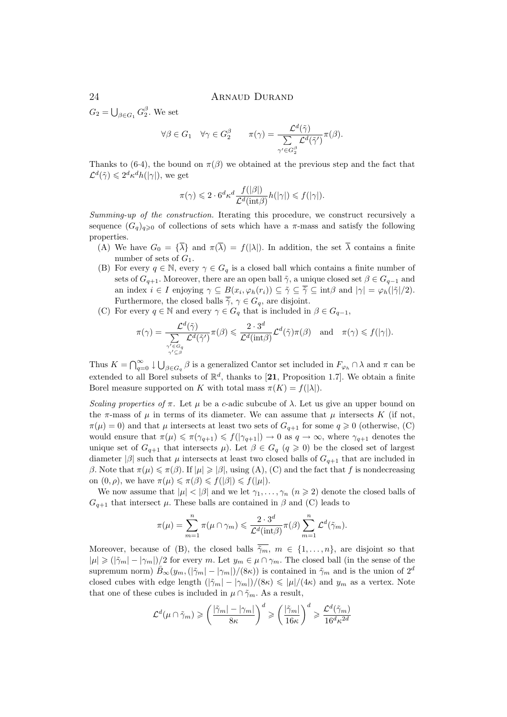$G_2 = \bigcup_{\beta \in G_1} G_2^{\beta}$ . We set

$$
\forall \beta \in G_1 \quad \forall \gamma \in G_2^{\beta} \qquad \pi(\gamma) = \frac{\mathcal{L}^d(\tilde{\gamma})}{\sum\limits_{\gamma' \in G_2^{\beta}} \mathcal{L}^d(\tilde{\gamma}')}\pi(\beta).
$$

Thanks to (6.4), the bound on  $\pi(\beta)$  we obtained at the previous step and the fact that  $\mathcal{L}^d(\tilde{\gamma}) \leqslant 2^d \kappa^d h(|\gamma|)$ , we get

$$
\pi(\gamma) \leqslant 2 \cdot 6^d \kappa^d \frac{f(|\beta|)}{\mathcal{L}^d(\text{int}\beta)} h(|\gamma|) \leqslant f(|\gamma|).
$$

Summing-up of the construction. Iterating this procedure, we construct recursively a sequence  $(G_q)_{q\geq 0}$  of collections of sets which have a  $\pi$ -mass and satisfy the following properties.

- (A) We have  $G_0 = {\overline{\lambda}}$  and  $\pi(\overline{\lambda}) = f(|\lambda|)$ . In addition, the set  $\overline{\lambda}$  contains a finite number of sets of  $G_1$ .
- (B) For every  $q \in \mathbb{N}$ , every  $\gamma \in G_q$  is a closed ball which contains a finite number of sets of  $G_{q+1}$ . Moreover, there are an open ball  $\tilde{\gamma}$ , a unique closed set  $\beta \in G_{q-1}$  and an index  $i \in I$  enjoying  $\gamma \subseteq B(x_i, \varphi_h(r_i)) \subseteq \tilde{\gamma} \subseteq \overline{\tilde{\gamma}} \subseteq \text{int}\beta$  and  $|\gamma| = \varphi_h(|\tilde{\gamma}|/2)$ . Furthermore, the closed balls  $\tilde{\gamma}$ ,  $\gamma \in G_q$ , are disjoint.
- (C) For every  $q \in \mathbb{N}$  and every  $\gamma \in G_q$  that is included in  $\beta \in G_{q-1}$ ,

$$
\pi(\gamma) = \frac{\mathcal{L}^d(\tilde{\gamma})}{\sum\limits_{\substack{\gamma' \in G_q \\ \gamma' \subseteq \beta}} \mathcal{L}^d(\tilde{\gamma}')}\pi(\beta) \leqslant \frac{2 \cdot 3^d}{\mathcal{L}^d(\text{int}\beta)} \mathcal{L}^d(\tilde{\gamma})\pi(\beta) \quad \text{and} \quad \pi(\gamma) \leqslant f(|\gamma|).
$$

Thus  $K = \bigcap_{q=0}^{\infty} \downarrow \bigcup_{\beta \in G_q} \beta$  is a generalized Cantor set included in  $F_{\varphi_h} \cap \lambda$  and  $\pi$  can be extended to all Borel subsets of  $\mathbb{R}^d$ , thanks to [21, Proposition 1.7]. We obtain a finite Borel measure supported on K with total mass  $\pi(K) = f(|\lambda|)$ .

Scaling properties of  $\pi$ . Let  $\mu$  be a c-adic subcube of  $\lambda$ . Let us give an upper bound on the  $\pi$ -mass of  $\mu$  in terms of its diameter. We can assume that  $\mu$  intersects K (if not,  $\pi(\mu) = 0$ ) and that  $\mu$  intersects at least two sets of  $G_{q+1}$  for some  $q \geq 0$  (otherwise, (C) would ensure that  $\pi(\mu) \leq \pi(\gamma_{q+1}) \leq f(|\gamma_{q+1}|) \to 0$  as  $q \to \infty$ , where  $\gamma_{q+1}$  denotes the unique set of  $G_{q+1}$  that intersects  $\mu$ ). Let  $\beta \in G_q$   $(q \geq 0)$  be the closed set of largest diameter  $|\beta|$  such that  $\mu$  intersects at least two closed balls of  $G_{q+1}$  that are included in β. Note that  $\pi(\mu) \leq \pi(\beta)$ . If  $|\mu| \geq |\beta|$ , using (A), (C) and the fact that f is nondecreasing on  $(0, \rho)$ , we have  $\pi(\mu) \leq \pi(\beta) \leq f(|\beta|) \leq f(|\mu|)$ .

We now assume that  $|\mu| < |\beta|$  and we let  $\gamma_1, \ldots, \gamma_n$   $(n \ge 2)$  denote the closed balls of  $G_{q+1}$  that intersect  $\mu$ . These balls are contained in  $\beta$  and (C) leads to

$$
\pi(\mu) = \sum_{m=1}^n \pi(\mu \cap \gamma_m) \leqslant \frac{2 \cdot 3^d}{\mathcal{L}^d(\text{int}\beta)} \pi(\beta) \sum_{m=1}^n \mathcal{L}^d(\tilde{\gamma}_m).
$$

Moreover, because of (B), the closed balls  $\overline{\tilde{\gamma}_m}$ ,  $m \in \{1, \ldots, n\}$ , are disjoint so that  $|\mu| \geq (|\tilde{\gamma}_m| - |\gamma_m|)/2$  for every m. Let  $y_m \in \mu \cap \gamma_m$ . The closed ball (in the sense of the supremum norm)  $\bar{B}_{\infty}(y_m,(|\tilde{\gamma}_m| - |\gamma_m|)/(8\kappa))$  is contained in  $\tilde{\gamma}_m$  and is the union of  $2^d$ closed cubes with edge length  $(|\tilde{\gamma}_m| - |\gamma_m|)/(8\kappa) \leq \frac{\mu}{4\kappa}$  and  $y_m$  as a vertex. Note that one of these cubes is included in  $\mu \cap \tilde{\gamma}_m$ . As a result,

$$
\mathcal{L}^d(\mu \cap \tilde{\gamma}_m) \geqslant \left(\frac{|\tilde{\gamma}_m| - |\gamma_m|}{8\kappa}\right)^d \geqslant \left(\frac{|\tilde{\gamma}_m|}{16\kappa}\right)^d \geqslant \frac{\mathcal{L}^d(\tilde{\gamma}_m)}{16^d\kappa^{2d}}
$$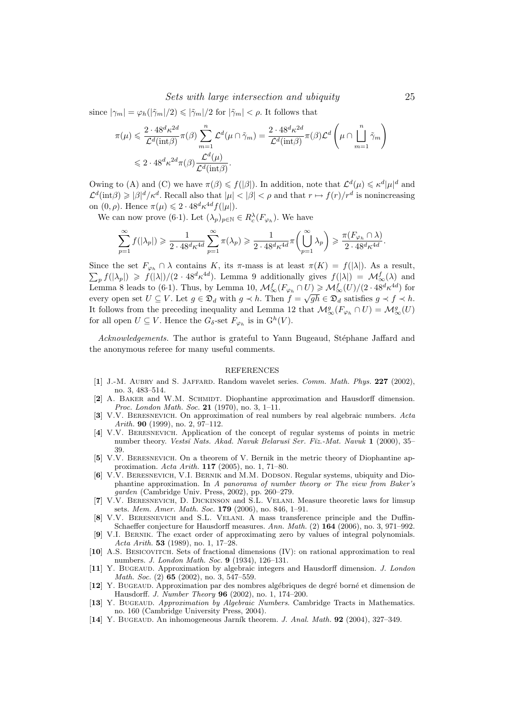since  $|\gamma_m| = \varphi_h(|\tilde{\gamma}_m|/2) \leq |\tilde{\gamma}_m|/2$  for  $|\tilde{\gamma}_m| < \rho$ . It follows that

$$
\pi(\mu) \leqslant \frac{2 \cdot 48^d \kappa^{2d}}{\mathcal{L}^d(\text{int}\beta)} \pi(\beta) \sum_{m=1}^n \mathcal{L}^d(\mu \cap \tilde{\gamma}_m) = \frac{2 \cdot 48^d \kappa^{2d}}{\mathcal{L}^d(\text{int}\beta)} \pi(\beta) \mathcal{L}^d \left(\mu \cap \prod_{m=1}^n \tilde{\gamma}_m\right)
$$
  

$$
\leqslant 2 \cdot 48^d \kappa^{2d} \pi(\beta) \frac{\mathcal{L}^d(\mu)}{\mathcal{L}^d(\text{int}\beta)}.
$$

Owing to (A) and (C) we have  $\pi(\beta) \leq f(|\beta|)$ . In addition, note that  $\mathcal{L}^d(\mu) \leq \kappa^d |\mu|^d$  and  $\mathcal{L}^d(\text{int}\beta) \geqslant |\beta|^d/\kappa^d$ . Recall also that  $|\mu| < |\beta| < \rho$  and that  $r \mapsto f(r)/r^d$  is nonincreasing on  $(0, \rho)$ . Hence  $\pi(\mu) \leq 2 \cdot 48^d \kappa^{4d} f(|\mu|)$ .

We can now prove (6.1). Let  $(\lambda_p)_{p \in \mathbb{N}} \in R_c^{\lambda}(F_{\varphi_h})$ . We have

$$
\sum_{p=1}^{\infty} f(|\lambda_p|) \geq \frac{1}{2 \cdot 48^d \kappa^{4d}} \sum_{p=1}^{\infty} \pi(\lambda_p) \geq \frac{1}{2 \cdot 48^d \kappa^{4d}} \pi\left(\bigcup_{p=1}^{\infty} \lambda_p\right) \geq \frac{\pi(F_{\varphi_h} \cap \lambda)}{2 \cdot 48^d \kappa^{4d}}.
$$

Since the set  $F_{\varphi_h} \cap \lambda$  contains K, its  $\pi$ -mass is at least  $\pi(K) = f(|\lambda|)$ . As a result,  $\sum_{p} f(|\lambda_p|) \geqslant f(|\lambda|)/(2 \cdot 48^d \kappa^{4d}).$  Lemma 9 additionally gives  $f(|\lambda|) = \mathcal{M}_{\infty}^f(\lambda)$  and Lemma 8 leads to (6.1). Thus, by Lemma 10,  $\mathcal{M}_{\infty}^f(F_{\varphi_h} \cap U) \geq \mathcal{M}_{\infty}^f(U)/(2 \cdot 48^d \kappa^{4d})$  for Lemma o reads to (0.1). Thus, by Lemma 10,  $\mathcal{M}_{\infty}^{\infty}(\mathcal{L}_{\varphi_h} + \mathcal{O}) \geq \mathcal{M}_{\infty}^{\infty}(\mathcal{O})/(\mathcal{L} \cdot 40 \ \hbar)$  for every open set  $U \subseteq V$ . Let  $g \in \mathfrak{D}_d$  with  $g \prec h$ . Then  $f = \sqrt{gh} \in \mathfrak{D}_d$  satisfies  $g \prec f \prec h$ It follows from the preceding inequality and Lemma 12 that  $\mathcal{M}_{\infty}^g(F_{\varphi_h} \cap U) = \mathcal{M}_{\infty}^g(U)$ for all open  $U \subseteq V$ . Hence the  $G_{\delta}$ -set  $F_{\varphi_h}$  is in  $\mathbb{G}^h(V)$ .

Acknowledgements. The author is grateful to Yann Bugeaud, Stéphane Jaffard and the anonymous referee for many useful comments.

### REFERENCES

- [1] J.-M. AUBRY and S. JAFFARD. Random wavelet series. Comm. Math. Phys. 227 (2002), no. 3, 483–514.
- [2] A. BAKER and W.M. SCHMIDT. Diophantine approximation and Hausdorff dimension. Proc. London Math. Soc. 21 (1970), no. 3, 1-11.
- [3] V.V. BERESNEVICH. On approximation of real numbers by real algebraic numbers. Acta Arith. 90 (1999), no. 2, 97–112.
- [4] V.V. Beresnevich. Application of the concept of regular systems of points in metric number theory. Vestsī Nats. Akad. Navuk Belarusī Ser. Fīz.-Mat. Navuk 1 (2000), 35– 39.
- [5] V.V. Beresnevich. On a theorem of V. Bernik in the metric theory of Diophantine approximation. Acta Arith. 117 (2005), no. 1, 71–80.
- [6] V.V. Beresnevich, V.I. Bernik and M.M. Dodson. Regular systems, ubiquity and Diophantine approximation. In A panorama of number theory or The view from Baker's garden (Cambridge Univ. Press, 2002), pp. 260–279.
- [7] V.V. Beresnevich, D. Dickinson and S.L. Velani. Measure theoretic laws for limsup sets. Mem. Amer. Math. Soc. 179 (2006), no. 846, 1–91.
- [8] V.V. Beresnevich and S.L. Velani. A mass transference principle and the Duffin-Schaeffer conjecture for Hausdorff measures. Ann. Math. (2) 164 (2006), no. 3, 971-992.
- [9] V.I. Bernik. The exact order of approximating zero by values of integral polynomials. Acta Arith. 53 (1989), no. 1, 17–28.
- [10] A.S. Besicovitch. Sets of fractional dimensions (IV): on rational approximation to real numbers. J. London Math. Soc. 9 (1934), 126–131.
- [11] Y. BUGEAUD. Approximation by algebraic integers and Hausdorff dimension. *J. London* Math. Soc. (2) **65** (2002), no. 3, 547–559.
- [12] Y. Bugeaup. Approximation par des nombres algébriques de degré borné et dimension de Hausdorff. J. Number Theory 96 (2002), no. 1, 174–200.
- [13] Y. Bugeaup. Approximation by Algebraic Numbers. Cambridge Tracts in Mathematics. no. 160 (Cambridge University Press, 2004).
- [14] Y. Bugeaup. An inhomogeneous Jarník theorem. J. Anal. Math. 92 (2004), 327–349.